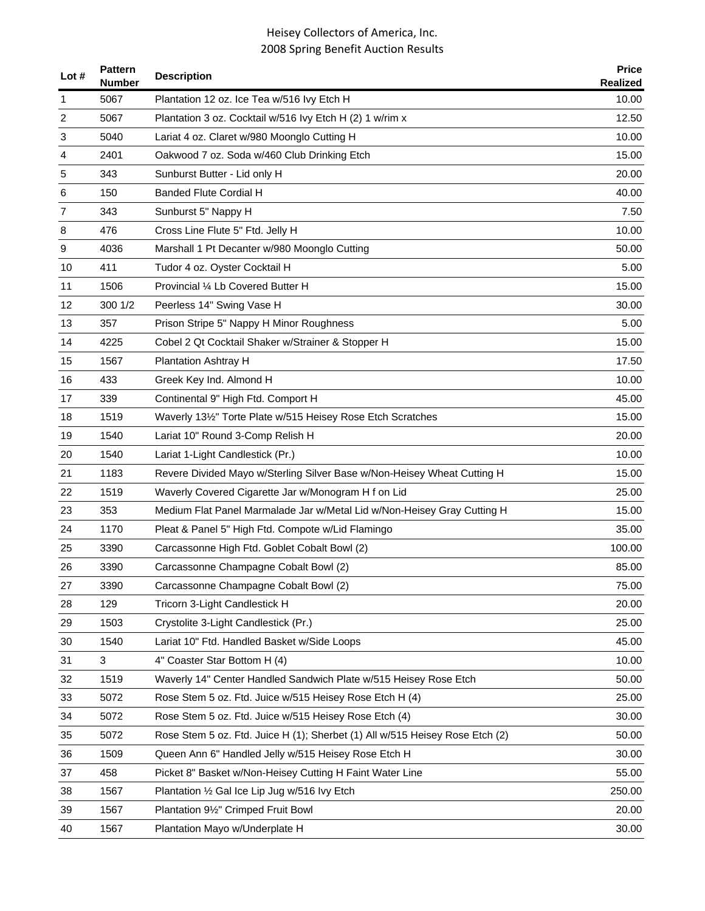| Lot $#$        | <b>Pattern</b><br><b>Number</b> | <b>Description</b>                                                           | <b>Price</b><br><b>Realized</b> |
|----------------|---------------------------------|------------------------------------------------------------------------------|---------------------------------|
| 1              | 5067                            | Plantation 12 oz. Ice Tea w/516 Ivy Etch H                                   | 10.00                           |
| $\overline{2}$ | 5067                            | Plantation 3 oz. Cocktail w/516 lvy Etch H (2) 1 w/rim x                     | 12.50                           |
| 3              | 5040                            | Lariat 4 oz. Claret w/980 Moonglo Cutting H                                  | 10.00                           |
| 4              | 2401                            | Oakwood 7 oz. Soda w/460 Club Drinking Etch                                  | 15.00                           |
| 5              | 343                             | Sunburst Butter - Lid only H                                                 | 20.00                           |
| 6              | 150                             | Banded Flute Cordial H                                                       | 40.00                           |
| 7              | 343                             | Sunburst 5" Nappy H                                                          | 7.50                            |
| 8              | 476                             | Cross Line Flute 5" Ftd. Jelly H                                             | 10.00                           |
| 9              | 4036                            | Marshall 1 Pt Decanter w/980 Moonglo Cutting                                 | 50.00                           |
| 10             | 411                             | Tudor 4 oz. Oyster Cocktail H                                                | 5.00                            |
| 11             | 1506                            | Provincial 1/4 Lb Covered Butter H                                           | 15.00                           |
| 12             | 300 1/2                         | Peerless 14" Swing Vase H                                                    | 30.00                           |
| 13             | 357                             | Prison Stripe 5" Nappy H Minor Roughness                                     | 5.00                            |
| 14             | 4225                            | Cobel 2 Qt Cocktail Shaker w/Strainer & Stopper H                            | 15.00                           |
| 15             | 1567                            | <b>Plantation Ashtray H</b>                                                  | 17.50                           |
| 16             | 433                             | Greek Key Ind. Almond H                                                      | 10.00                           |
| 17             | 339                             | Continental 9" High Ftd. Comport H                                           | 45.00                           |
| 18             | 1519                            | Waverly 131/2" Torte Plate w/515 Heisey Rose Etch Scratches                  | 15.00                           |
| 19             | 1540                            | Lariat 10" Round 3-Comp Relish H                                             | 20.00                           |
| 20             | 1540                            | Lariat 1-Light Candlestick (Pr.)                                             | 10.00                           |
| 21             | 1183                            | Revere Divided Mayo w/Sterling Silver Base w/Non-Heisey Wheat Cutting H      | 15.00                           |
| 22             | 1519                            | Waverly Covered Cigarette Jar w/Monogram H f on Lid                          | 25.00                           |
| 23             | 353                             | Medium Flat Panel Marmalade Jar w/Metal Lid w/Non-Heisey Gray Cutting H      | 15.00                           |
| 24             | 1170                            | Pleat & Panel 5" High Ftd. Compote w/Lid Flamingo                            | 35.00                           |
| 25             | 3390                            | Carcassonne High Ftd. Goblet Cobalt Bowl (2)                                 | 100.00                          |
| 26             | 3390                            | Carcassonne Champagne Cobalt Bowl (2)                                        | 85.00                           |
| 27             | 3390                            | Carcassonne Champagne Cobalt Bowl (2)                                        | 75.00                           |
| 28             | 129                             | Tricorn 3-Light Candlestick H                                                | 20.00                           |
| 29             | 1503                            | Crystolite 3-Light Candlestick (Pr.)                                         | 25.00                           |
| 30             | 1540                            | Lariat 10" Ftd. Handled Basket w/Side Loops                                  | 45.00                           |
| 31             | 3                               | 4" Coaster Star Bottom H (4)                                                 | 10.00                           |
| 32             | 1519                            | Waverly 14" Center Handled Sandwich Plate w/515 Heisey Rose Etch             | 50.00                           |
| 33             | 5072                            | Rose Stem 5 oz. Ftd. Juice w/515 Heisey Rose Etch H (4)                      | 25.00                           |
| 34             | 5072                            | Rose Stem 5 oz. Ftd. Juice w/515 Heisey Rose Etch (4)                        | 30.00                           |
| 35             | 5072                            | Rose Stem 5 oz. Ftd. Juice H (1); Sherbet (1) All w/515 Heisey Rose Etch (2) | 50.00                           |
| 36             | 1509                            | Queen Ann 6" Handled Jelly w/515 Heisey Rose Etch H                          | 30.00                           |
| 37             | 458                             | Picket 8" Basket w/Non-Heisey Cutting H Faint Water Line                     | 55.00                           |
| 38             | 1567                            | Plantation 1/2 Gal Ice Lip Jug w/516 Ivy Etch                                | 250.00                          |
| 39             | 1567                            | Plantation 91/2" Crimped Fruit Bowl                                          | 20.00                           |
| 40             | 1567                            | Plantation Mayo w/Underplate H                                               | 30.00                           |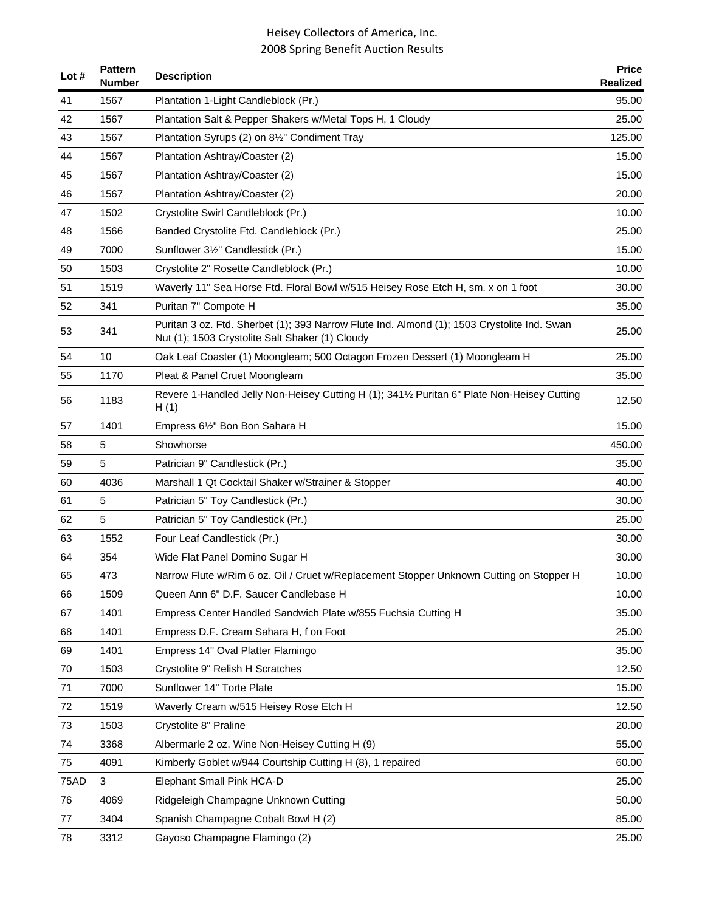| Lot $#$     | <b>Pattern</b><br><b>Number</b> | <b>Description</b>                                                                                                                             | <b>Price</b><br>Realized |
|-------------|---------------------------------|------------------------------------------------------------------------------------------------------------------------------------------------|--------------------------|
| 41          | 1567                            | Plantation 1-Light Candleblock (Pr.)                                                                                                           | 95.00                    |
| 42          | 1567                            | Plantation Salt & Pepper Shakers w/Metal Tops H, 1 Cloudy                                                                                      | 25.00                    |
| 43          | 1567                            | Plantation Syrups (2) on 81/2" Condiment Tray                                                                                                  | 125.00                   |
| 44          | 1567                            | Plantation Ashtray/Coaster (2)                                                                                                                 | 15.00                    |
| 45          | 1567                            | Plantation Ashtray/Coaster (2)                                                                                                                 | 15.00                    |
| 46          | 1567                            | Plantation Ashtray/Coaster (2)                                                                                                                 | 20.00                    |
| 47          | 1502                            | Crystolite Swirl Candleblock (Pr.)                                                                                                             | 10.00                    |
| 48          | 1566                            | Banded Crystolite Ftd. Candleblock (Pr.)                                                                                                       | 25.00                    |
| 49          | 7000                            | Sunflower 3½" Candlestick (Pr.)                                                                                                                | 15.00                    |
| 50          | 1503                            | Crystolite 2" Rosette Candleblock (Pr.)                                                                                                        | 10.00                    |
| 51          | 1519                            | Waverly 11" Sea Horse Ftd. Floral Bowl w/515 Heisey Rose Etch H, sm. x on 1 foot                                                               | 30.00                    |
| 52          | 341                             | Puritan 7" Compote H                                                                                                                           | 35.00                    |
| 53          | 341                             | Puritan 3 oz. Ftd. Sherbet (1); 393 Narrow Flute Ind. Almond (1); 1503 Crystolite Ind. Swan<br>Nut (1); 1503 Crystolite Salt Shaker (1) Cloudy | 25.00                    |
| 54          | 10                              | Oak Leaf Coaster (1) Moongleam; 500 Octagon Frozen Dessert (1) Moongleam H                                                                     | 25.00                    |
| 55          | 1170                            | Pleat & Panel Cruet Moongleam                                                                                                                  | 35.00                    |
| 56          | 1183                            | Revere 1-Handled Jelly Non-Heisey Cutting H (1); 3411/2 Puritan 6" Plate Non-Heisey Cutting<br>H(1)                                            | 12.50                    |
| 57          | 1401                            | Empress 6½" Bon Bon Sahara H                                                                                                                   | 15.00                    |
| 58          | 5                               | Showhorse                                                                                                                                      | 450.00                   |
| 59          | 5                               | Patrician 9" Candlestick (Pr.)                                                                                                                 | 35.00                    |
| 60          | 4036                            | Marshall 1 Qt Cocktail Shaker w/Strainer & Stopper                                                                                             | 40.00                    |
| 61          | 5                               | Patrician 5" Toy Candlestick (Pr.)                                                                                                             | 30.00                    |
| 62          | 5                               | Patrician 5" Toy Candlestick (Pr.)                                                                                                             | 25.00                    |
| 63          | 1552                            | Four Leaf Candlestick (Pr.)                                                                                                                    | 30.00                    |
| 64          | 354                             | Wide Flat Panel Domino Sugar H                                                                                                                 | 30.00                    |
| 65          | 473                             | Narrow Flute w/Rim 6 oz. Oil / Cruet w/Replacement Stopper Unknown Cutting on Stopper H                                                        | 10.00                    |
| 66          | 1509                            | Queen Ann 6" D.F. Saucer Candlebase H                                                                                                          | 10.00                    |
| 67          | 1401                            | Empress Center Handled Sandwich Plate w/855 Fuchsia Cutting H                                                                                  | 35.00                    |
| 68          | 1401                            | Empress D.F. Cream Sahara H, f on Foot                                                                                                         | 25.00                    |
| 69          | 1401                            | Empress 14" Oval Platter Flamingo                                                                                                              | 35.00                    |
| 70          | 1503                            | Crystolite 9" Relish H Scratches                                                                                                               | 12.50                    |
| 71          | 7000                            | Sunflower 14" Torte Plate                                                                                                                      | 15.00                    |
| 72          | 1519                            | Waverly Cream w/515 Heisey Rose Etch H                                                                                                         | 12.50                    |
| 73          | 1503                            | Crystolite 8" Praline                                                                                                                          | 20.00                    |
| 74          | 3368                            | Albermarle 2 oz. Wine Non-Heisey Cutting H (9)                                                                                                 | 55.00                    |
| 75          | 4091                            | Kimberly Goblet w/944 Courtship Cutting H (8), 1 repaired                                                                                      | 60.00                    |
| <b>75AD</b> | 3                               | Elephant Small Pink HCA-D                                                                                                                      | 25.00                    |
| 76          | 4069                            | Ridgeleigh Champagne Unknown Cutting                                                                                                           | 50.00                    |
| 77          | 3404                            | Spanish Champagne Cobalt Bowl H (2)                                                                                                            | 85.00                    |
| 78          | 3312                            | Gayoso Champagne Flamingo (2)                                                                                                                  | 25.00                    |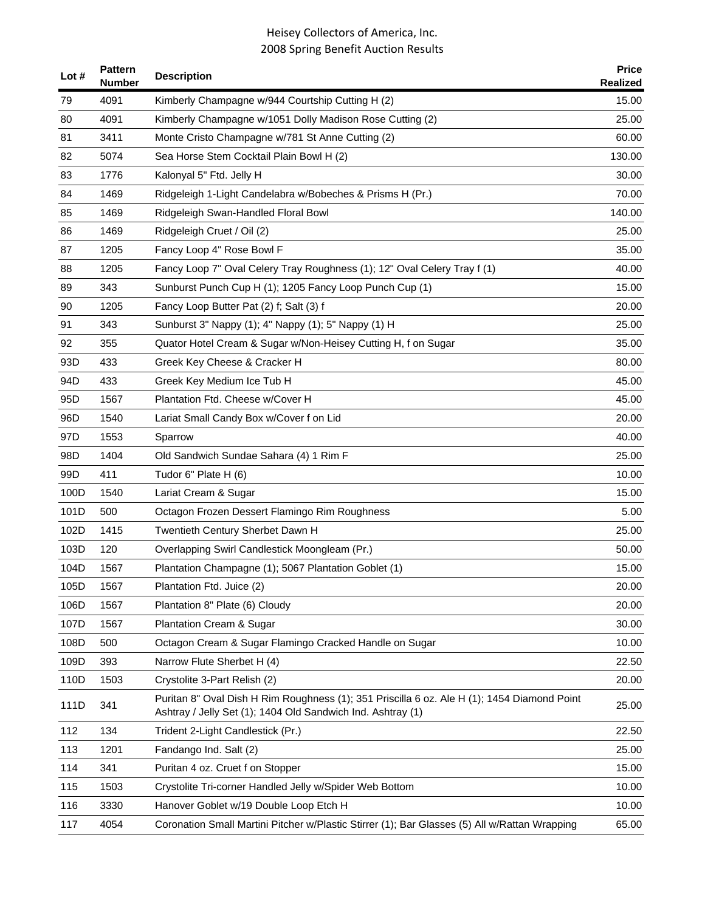| Lot $#$         | <b>Pattern</b><br>Number | <b>Description</b>                                                                                                                                         | <b>Price</b><br>Realized |
|-----------------|--------------------------|------------------------------------------------------------------------------------------------------------------------------------------------------------|--------------------------|
| 79              | 4091                     | Kimberly Champagne w/944 Courtship Cutting H (2)                                                                                                           | 15.00                    |
| 80              | 4091                     | Kimberly Champagne w/1051 Dolly Madison Rose Cutting (2)                                                                                                   | 25.00                    |
| 81              | 3411                     | Monte Cristo Champagne w/781 St Anne Cutting (2)                                                                                                           | 60.00                    |
| 82              | 5074                     | Sea Horse Stem Cocktail Plain Bowl H (2)                                                                                                                   | 130.00                   |
| 83              | 1776                     | Kalonyal 5" Ftd. Jelly H                                                                                                                                   | 30.00                    |
| 84              | 1469                     | Ridgeleigh 1-Light Candelabra w/Bobeches & Prisms H (Pr.)                                                                                                  | 70.00                    |
| 85              | 1469                     | Ridgeleigh Swan-Handled Floral Bowl                                                                                                                        | 140.00                   |
| 86              | 1469                     | Ridgeleigh Cruet / Oil (2)                                                                                                                                 | 25.00                    |
| 87              | 1205                     | Fancy Loop 4" Rose Bowl F                                                                                                                                  | 35.00                    |
| 88              | 1205                     | Fancy Loop 7" Oval Celery Tray Roughness (1); 12" Oval Celery Tray f (1)                                                                                   | 40.00                    |
| 89              | 343                      | Sunburst Punch Cup H (1); 1205 Fancy Loop Punch Cup (1)                                                                                                    | 15.00                    |
| 90              | 1205                     | Fancy Loop Butter Pat (2) f; Salt (3) f                                                                                                                    | 20.00                    |
| 91              | 343                      | Sunburst 3" Nappy (1); 4" Nappy (1); 5" Nappy (1) H                                                                                                        | 25.00                    |
| 92              | 355                      | Quator Hotel Cream & Sugar w/Non-Heisey Cutting H, f on Sugar                                                                                              | 35.00                    |
| 93D             | 433                      | Greek Key Cheese & Cracker H                                                                                                                               | 80.00                    |
| 94D             | 433                      | Greek Key Medium Ice Tub H                                                                                                                                 | 45.00                    |
| 95 <sub>D</sub> | 1567                     | Plantation Ftd. Cheese w/Cover H                                                                                                                           | 45.00                    |
| 96D             | 1540                     | Lariat Small Candy Box w/Cover f on Lid                                                                                                                    | 20.00                    |
| 97D             | 1553                     | Sparrow                                                                                                                                                    | 40.00                    |
| 98D             | 1404                     | Old Sandwich Sundae Sahara (4) 1 Rim F                                                                                                                     | 25.00                    |
| 99D             | 411                      | Tudor 6" Plate H (6)                                                                                                                                       | 10.00                    |
| 100D            | 1540                     | Lariat Cream & Sugar                                                                                                                                       | 15.00                    |
| 101D            | 500                      | Octagon Frozen Dessert Flamingo Rim Roughness                                                                                                              | 5.00                     |
| 102D            | 1415                     | Twentieth Century Sherbet Dawn H                                                                                                                           | 25.00                    |
| 103D            | 120                      | Overlapping Swirl Candlestick Moongleam (Pr.)                                                                                                              | 50.00                    |
| 104D            | 1567                     | Plantation Champagne (1); 5067 Plantation Goblet (1)                                                                                                       | 15.00                    |
| 105D            | 1567                     | Plantation Ftd. Juice (2)                                                                                                                                  | 20.00                    |
| 106D            | 1567                     | Plantation 8" Plate (6) Cloudy                                                                                                                             | 20.00                    |
| 107D            | 1567                     | <b>Plantation Cream &amp; Sugar</b>                                                                                                                        | 30.00                    |
| 108D            | 500                      | Octagon Cream & Sugar Flamingo Cracked Handle on Sugar                                                                                                     | 10.00                    |
| 109D            | 393                      | Narrow Flute Sherbet H (4)                                                                                                                                 | 22.50                    |
| 110D            | 1503                     | Crystolite 3-Part Relish (2)                                                                                                                               | 20.00                    |
| 111D            | 341                      | Puritan 8" Oval Dish H Rim Roughness (1); 351 Priscilla 6 oz. Ale H (1); 1454 Diamond Point<br>Ashtray / Jelly Set (1); 1404 Old Sandwich Ind. Ashtray (1) | 25.00                    |
| 112             | 134                      | Trident 2-Light Candlestick (Pr.)                                                                                                                          | 22.50                    |
| 113             | 1201                     | Fandango Ind. Salt (2)                                                                                                                                     | 25.00                    |
| 114             | 341                      | Puritan 4 oz. Cruet f on Stopper                                                                                                                           | 15.00                    |
| 115             | 1503                     | Crystolite Tri-corner Handled Jelly w/Spider Web Bottom                                                                                                    | 10.00                    |
| 116             | 3330                     | Hanover Goblet w/19 Double Loop Etch H                                                                                                                     | 10.00                    |
| 117             | 4054                     | Coronation Small Martini Pitcher w/Plastic Stirrer (1); Bar Glasses (5) All w/Rattan Wrapping                                                              | 65.00                    |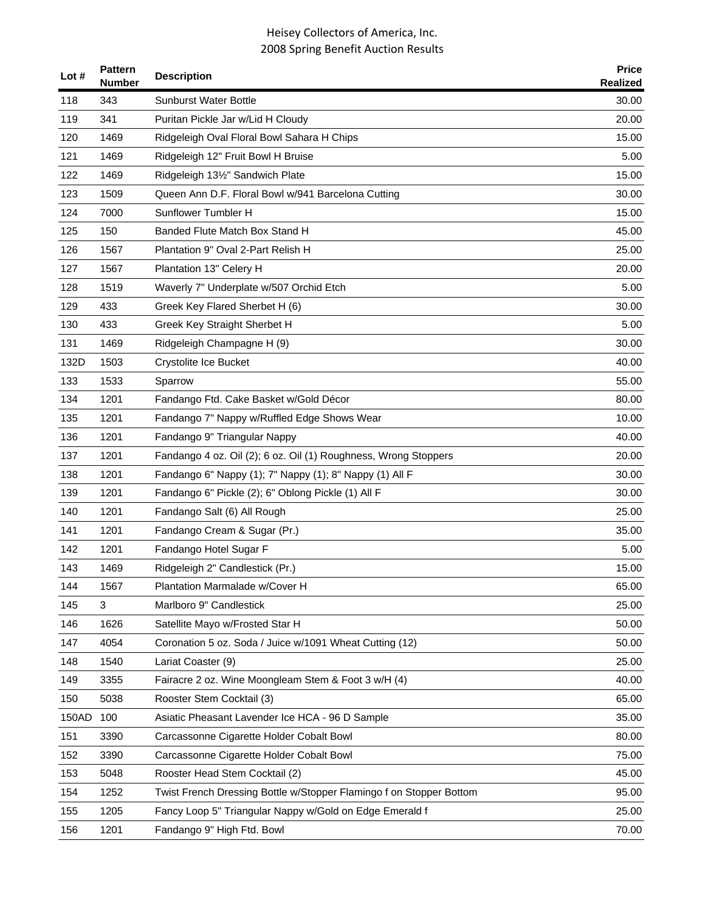| Lot $#$ | <b>Pattern</b><br><b>Number</b> | <b>Description</b>                                                  | <b>Price</b><br><b>Realized</b> |
|---------|---------------------------------|---------------------------------------------------------------------|---------------------------------|
| 118     | 343                             | <b>Sunburst Water Bottle</b>                                        | 30.00                           |
| 119     | 341                             | Puritan Pickle Jar w/Lid H Cloudy                                   | 20.00                           |
| 120     | 1469                            | Ridgeleigh Oval Floral Bowl Sahara H Chips                          | 15.00                           |
| 121     | 1469                            | Ridgeleigh 12" Fruit Bowl H Bruise                                  | 5.00                            |
| 122     | 1469                            | Ridgeleigh 131/2" Sandwich Plate                                    | 15.00                           |
| 123     | 1509                            | Queen Ann D.F. Floral Bowl w/941 Barcelona Cutting                  | 30.00                           |
| 124     | 7000                            | Sunflower Tumbler H                                                 | 15.00                           |
| 125     | 150                             | Banded Flute Match Box Stand H                                      | 45.00                           |
| 126     | 1567                            | Plantation 9" Oval 2-Part Relish H                                  | 25.00                           |
| 127     | 1567                            | Plantation 13" Celery H                                             | 20.00                           |
| 128     | 1519                            | Waverly 7" Underplate w/507 Orchid Etch                             | 5.00                            |
| 129     | 433                             | Greek Key Flared Sherbet H (6)                                      | 30.00                           |
| 130     | 433                             | Greek Key Straight Sherbet H                                        | 5.00                            |
| 131     | 1469                            | Ridgeleigh Champagne H (9)                                          | 30.00                           |
| 132D    | 1503                            | Crystolite Ice Bucket                                               | 40.00                           |
| 133     | 1533                            | Sparrow                                                             | 55.00                           |
| 134     | 1201                            | Fandango Ftd. Cake Basket w/Gold Décor                              | 80.00                           |
| 135     | 1201                            | Fandango 7" Nappy w/Ruffled Edge Shows Wear                         | 10.00                           |
| 136     | 1201                            | Fandango 9" Triangular Nappy                                        | 40.00                           |
| 137     | 1201                            | Fandango 4 oz. Oil (2); 6 oz. Oil (1) Roughness, Wrong Stoppers     | 20.00                           |
| 138     | 1201                            | Fandango 6" Nappy (1); 7" Nappy (1); 8" Nappy (1) All F             | 30.00                           |
| 139     | 1201                            | Fandango 6" Pickle (2); 6" Oblong Pickle (1) All F                  | 30.00                           |
| 140     | 1201                            | Fandango Salt (6) All Rough                                         | 25.00                           |
| 141     | 1201                            | Fandango Cream & Sugar (Pr.)                                        | 35.00                           |
| 142     | 1201                            | Fandango Hotel Sugar F                                              | 5.00                            |
| 143     | 1469                            | Ridgeleigh 2" Candlestick (Pr.)                                     | 15.00                           |
| 144     | 1567                            | Plantation Marmalade w/Cover H                                      | 65.00                           |
| 145     | 3                               | Marlboro 9" Candlestick                                             | 25.00                           |
| 146     | 1626                            | Satellite Mayo w/Frosted Star H                                     | 50.00                           |
| 147     | 4054                            | Coronation 5 oz. Soda / Juice w/1091 Wheat Cutting (12)             | 50.00                           |
| 148     | 1540                            | Lariat Coaster (9)                                                  | 25.00                           |
| 149     | 3355                            | Fairacre 2 oz. Wine Moongleam Stem & Foot 3 w/H (4)                 | 40.00                           |
| 150     | 5038                            | Rooster Stem Cocktail (3)                                           | 65.00                           |
| 150AD   | 100                             | Asiatic Pheasant Lavender Ice HCA - 96 D Sample                     | 35.00                           |
| 151     | 3390                            | Carcassonne Cigarette Holder Cobalt Bowl                            | 80.00                           |
| 152     | 3390                            | Carcassonne Cigarette Holder Cobalt Bowl                            | 75.00                           |
| 153     | 5048                            | Rooster Head Stem Cocktail (2)                                      | 45.00                           |
| 154     | 1252                            | Twist French Dressing Bottle w/Stopper Flamingo f on Stopper Bottom | 95.00                           |
| 155     | 1205                            | Fancy Loop 5" Triangular Nappy w/Gold on Edge Emerald f             | 25.00                           |
| 156     | 1201                            | Fandango 9" High Ftd. Bowl                                          | 70.00                           |
|         |                                 |                                                                     |                                 |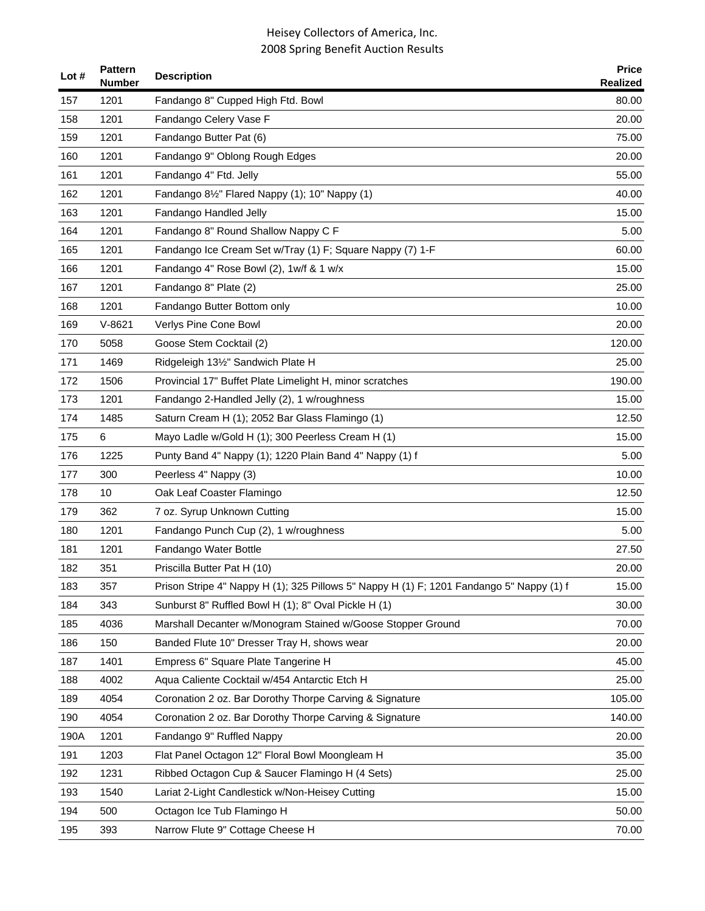| Lot $#$ | <b>Pattern</b><br>Number | <b>Description</b>                                                                       | <b>Price</b><br><b>Realized</b> |
|---------|--------------------------|------------------------------------------------------------------------------------------|---------------------------------|
| 157     | 1201                     | Fandango 8" Cupped High Ftd. Bowl                                                        | 80.00                           |
| 158     | 1201                     | Fandango Celery Vase F                                                                   | 20.00                           |
| 159     | 1201                     | Fandango Butter Pat (6)                                                                  | 75.00                           |
| 160     | 1201                     | Fandango 9" Oblong Rough Edges                                                           | 20.00                           |
| 161     | 1201                     | Fandango 4" Ftd. Jelly                                                                   | 55.00                           |
| 162     | 1201                     | Fandango 81/2" Flared Nappy (1); 10" Nappy (1)                                           | 40.00                           |
| 163     | 1201                     | Fandango Handled Jelly                                                                   | 15.00                           |
| 164     | 1201                     | Fandango 8" Round Shallow Nappy C F                                                      | 5.00                            |
| 165     | 1201                     | Fandango Ice Cream Set w/Tray (1) F; Square Nappy (7) 1-F                                | 60.00                           |
| 166     | 1201                     | Fandango 4" Rose Bowl (2), 1w/f & 1 w/x                                                  | 15.00                           |
| 167     | 1201                     | Fandango 8" Plate (2)                                                                    | 25.00                           |
| 168     | 1201                     | Fandango Butter Bottom only                                                              | 10.00                           |
| 169     | $V-8621$                 | Verlys Pine Cone Bowl                                                                    | 20.00                           |
| 170     | 5058                     | Goose Stem Cocktail (2)                                                                  | 120.00                          |
| 171     | 1469                     | Ridgeleigh 131/2" Sandwich Plate H                                                       | 25.00                           |
| 172     | 1506                     | Provincial 17" Buffet Plate Limelight H, minor scratches                                 | 190.00                          |
| 173     | 1201                     | Fandango 2-Handled Jelly (2), 1 w/roughness                                              | 15.00                           |
| 174     | 1485                     | Saturn Cream H (1); 2052 Bar Glass Flamingo (1)                                          | 12.50                           |
| 175     | 6                        | Mayo Ladle w/Gold H (1); 300 Peerless Cream H (1)                                        | 15.00                           |
| 176     | 1225                     | Punty Band 4" Nappy (1); 1220 Plain Band 4" Nappy (1) f                                  | 5.00                            |
| 177     | 300                      | Peerless 4" Nappy (3)                                                                    | 10.00                           |
| 178     | 10                       | Oak Leaf Coaster Flamingo                                                                | 12.50                           |
| 179     | 362                      | 7 oz. Syrup Unknown Cutting                                                              | 15.00                           |
| 180     | 1201                     | Fandango Punch Cup (2), 1 w/roughness                                                    | 5.00                            |
| 181     | 1201                     | Fandango Water Bottle                                                                    | 27.50                           |
| 182     | 351                      | Priscilla Butter Pat H (10)                                                              | 20.00                           |
| 183     | 357                      | Prison Stripe 4" Nappy H (1); 325 Pillows 5" Nappy H (1) F; 1201 Fandango 5" Nappy (1) f | 15.00                           |
| 184     | 343                      | Sunburst 8" Ruffled Bowl H (1); 8" Oval Pickle H (1)                                     | 30.00                           |
| 185     | 4036                     | Marshall Decanter w/Monogram Stained w/Goose Stopper Ground                              | 70.00                           |
| 186     | 150                      | Banded Flute 10" Dresser Tray H, shows wear                                              | 20.00                           |
| 187     | 1401                     | Empress 6" Square Plate Tangerine H                                                      | 45.00                           |
| 188     | 4002                     | Aqua Caliente Cocktail w/454 Antarctic Etch H                                            | 25.00                           |
| 189     | 4054                     | Coronation 2 oz. Bar Dorothy Thorpe Carving & Signature                                  | 105.00                          |
| 190     | 4054                     | Coronation 2 oz. Bar Dorothy Thorpe Carving & Signature                                  | 140.00                          |
| 190A    | 1201                     | Fandango 9" Ruffled Nappy                                                                | 20.00                           |
| 191     | 1203                     | Flat Panel Octagon 12" Floral Bowl Moongleam H                                           | 35.00                           |
| 192     | 1231                     | Ribbed Octagon Cup & Saucer Flamingo H (4 Sets)                                          | 25.00                           |
| 193     | 1540                     | Lariat 2-Light Candlestick w/Non-Heisey Cutting                                          | 15.00                           |
| 194     | 500                      | Octagon Ice Tub Flamingo H                                                               | 50.00                           |
| 195     | 393                      | Narrow Flute 9" Cottage Cheese H                                                         | 70.00                           |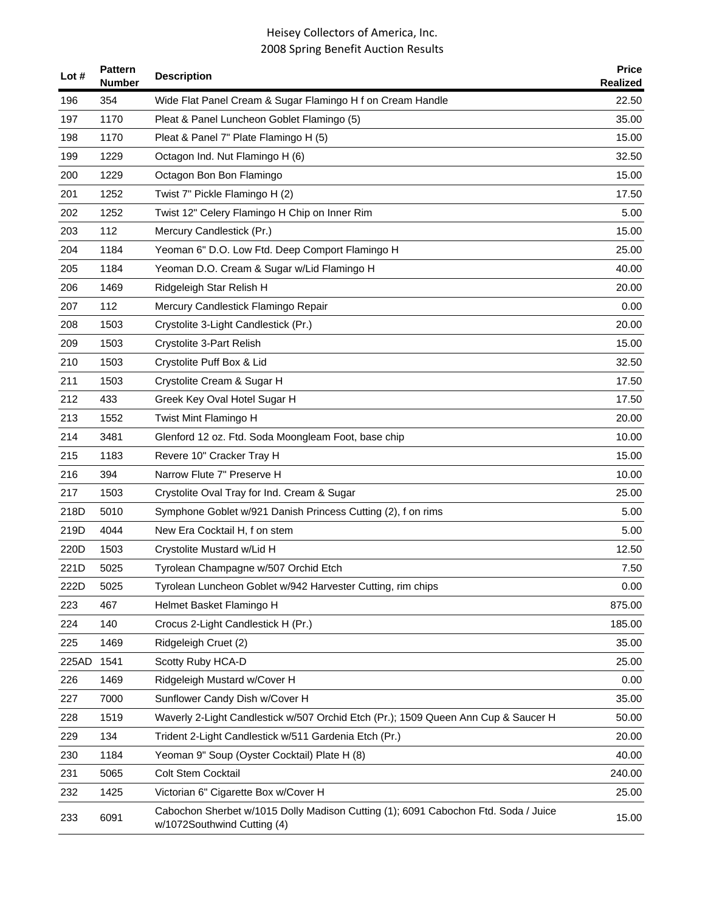| Lot $#$ | <b>Pattern</b><br><b>Number</b> | <b>Description</b>                                                                                                | <b>Price</b><br>Realized |
|---------|---------------------------------|-------------------------------------------------------------------------------------------------------------------|--------------------------|
| 196     | 354                             | Wide Flat Panel Cream & Sugar Flamingo H f on Cream Handle                                                        | 22.50                    |
| 197     | 1170                            | Pleat & Panel Luncheon Goblet Flamingo (5)                                                                        | 35.00                    |
| 198     | 1170                            | Pleat & Panel 7" Plate Flamingo H (5)                                                                             | 15.00                    |
| 199     | 1229                            | Octagon Ind. Nut Flamingo H (6)                                                                                   | 32.50                    |
| 200     | 1229                            | Octagon Bon Bon Flamingo                                                                                          | 15.00                    |
| 201     | 1252                            | Twist 7" Pickle Flamingo H (2)                                                                                    | 17.50                    |
| 202     | 1252                            | Twist 12" Celery Flamingo H Chip on Inner Rim                                                                     | 5.00                     |
| 203     | 112                             | Mercury Candlestick (Pr.)                                                                                         | 15.00                    |
| 204     | 1184                            | Yeoman 6" D.O. Low Ftd. Deep Comport Flamingo H                                                                   | 25.00                    |
| 205     | 1184                            | Yeoman D.O. Cream & Sugar w/Lid Flamingo H                                                                        | 40.00                    |
| 206     | 1469                            | Ridgeleigh Star Relish H                                                                                          | 20.00                    |
| 207     | 112                             | Mercury Candlestick Flamingo Repair                                                                               | 0.00                     |
| 208     | 1503                            | Crystolite 3-Light Candlestick (Pr.)                                                                              | 20.00                    |
| 209     | 1503                            | Crystolite 3-Part Relish                                                                                          | 15.00                    |
| 210     | 1503                            | Crystolite Puff Box & Lid                                                                                         | 32.50                    |
| 211     | 1503                            | Crystolite Cream & Sugar H                                                                                        | 17.50                    |
| 212     | 433                             | Greek Key Oval Hotel Sugar H                                                                                      | 17.50                    |
| 213     | 1552                            | Twist Mint Flamingo H                                                                                             | 20.00                    |
| 214     | 3481                            | Glenford 12 oz. Ftd. Soda Moongleam Foot, base chip                                                               | 10.00                    |
| 215     | 1183                            | Revere 10" Cracker Tray H                                                                                         | 15.00                    |
| 216     | 394                             | Narrow Flute 7" Preserve H                                                                                        | 10.00                    |
| 217     | 1503                            | Crystolite Oval Tray for Ind. Cream & Sugar                                                                       | 25.00                    |
| 218D    | 5010                            | Symphone Goblet w/921 Danish Princess Cutting (2), f on rims                                                      | 5.00                     |
| 219D    | 4044                            | New Era Cocktail H, f on stem                                                                                     | 5.00                     |
| 220D    | 1503                            | Crystolite Mustard w/Lid H                                                                                        | 12.50                    |
| 221D    | 5025                            | Tyrolean Champagne w/507 Orchid Etch                                                                              | 7.50                     |
| 222D    | 5025                            | Tyrolean Luncheon Goblet w/942 Harvester Cutting, rim chips                                                       | 0.00                     |
| 223     | 467                             | Helmet Basket Flamingo H                                                                                          | 875.00                   |
| 224     | 140                             | Crocus 2-Light Candlestick H (Pr.)                                                                                | 185.00                   |
| 225     | 1469                            | Ridgeleigh Cruet (2)                                                                                              | 35.00                    |
| 225AD   | 1541                            | Scotty Ruby HCA-D                                                                                                 | 25.00                    |
| 226     | 1469                            | Ridgeleigh Mustard w/Cover H                                                                                      | 0.00                     |
| 227     | 7000                            | Sunflower Candy Dish w/Cover H                                                                                    | 35.00                    |
| 228     | 1519                            | Waverly 2-Light Candlestick w/507 Orchid Etch (Pr.); 1509 Queen Ann Cup & Saucer H                                | 50.00                    |
| 229     | 134                             | Trident 2-Light Candlestick w/511 Gardenia Etch (Pr.)                                                             | 20.00                    |
| 230     | 1184                            | Yeoman 9" Soup (Oyster Cocktail) Plate H (8)                                                                      | 40.00                    |
| 231     | 5065                            | Colt Stem Cocktail                                                                                                | 240.00                   |
| 232     | 1425                            | Victorian 6" Cigarette Box w/Cover H                                                                              | 25.00                    |
| 233     | 6091                            | Cabochon Sherbet w/1015 Dolly Madison Cutting (1); 6091 Cabochon Ftd. Soda / Juice<br>w/1072Southwind Cutting (4) | 15.00                    |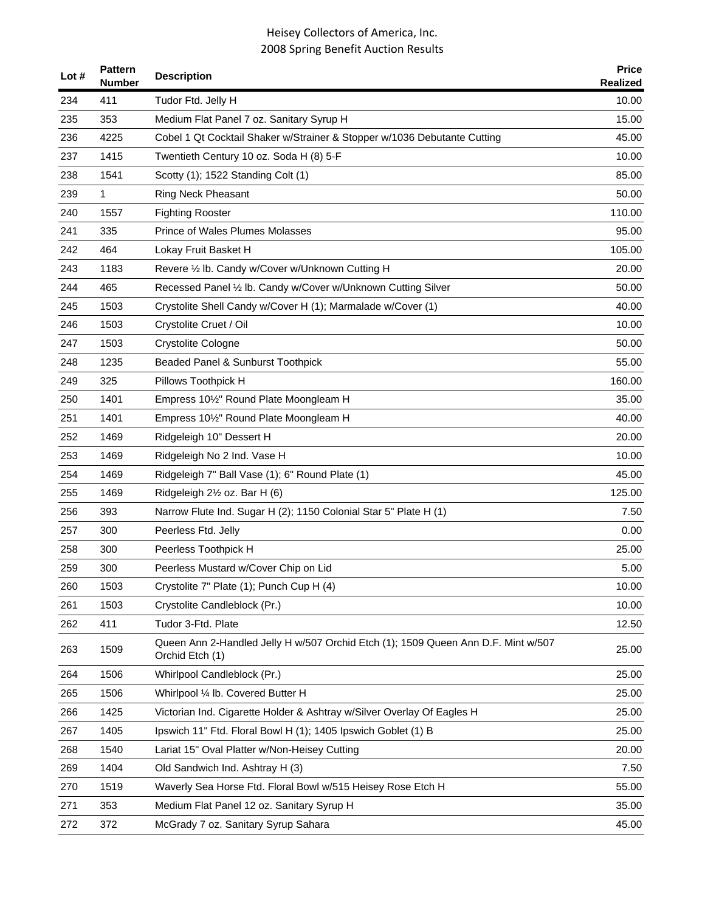| Lot# | <b>Pattern</b><br><b>Number</b> | <b>Description</b>                                                                                   | <b>Price</b><br><b>Realized</b> |
|------|---------------------------------|------------------------------------------------------------------------------------------------------|---------------------------------|
| 234  | 411                             | Tudor Ftd. Jelly H                                                                                   | 10.00                           |
| 235  | 353                             | Medium Flat Panel 7 oz. Sanitary Syrup H                                                             | 15.00                           |
| 236  | 4225                            | Cobel 1 Qt Cocktail Shaker w/Strainer & Stopper w/1036 Debutante Cutting                             | 45.00                           |
| 237  | 1415                            | Twentieth Century 10 oz. Soda H (8) 5-F                                                              | 10.00                           |
| 238  | 1541                            | Scotty (1); 1522 Standing Colt (1)                                                                   | 85.00                           |
| 239  | 1                               | <b>Ring Neck Pheasant</b>                                                                            | 50.00                           |
| 240  | 1557                            | <b>Fighting Rooster</b>                                                                              | 110.00                          |
| 241  | 335                             | <b>Prince of Wales Plumes Molasses</b>                                                               | 95.00                           |
| 242  | 464                             | Lokay Fruit Basket H                                                                                 | 105.00                          |
| 243  | 1183                            | Revere 1/2 lb. Candy w/Cover w/Unknown Cutting H                                                     | 20.00                           |
| 244  | 465                             | Recessed Panel 1/2 lb. Candy w/Cover w/Unknown Cutting Silver                                        | 50.00                           |
| 245  | 1503                            | Crystolite Shell Candy w/Cover H (1); Marmalade w/Cover (1)                                          | 40.00                           |
| 246  | 1503                            | Crystolite Cruet / Oil                                                                               | 10.00                           |
| 247  | 1503                            | Crystolite Cologne                                                                                   | 50.00                           |
| 248  | 1235                            | Beaded Panel & Sunburst Toothpick                                                                    | 55.00                           |
| 249  | 325                             | Pillows Toothpick H                                                                                  | 160.00                          |
| 250  | 1401                            | Empress 101/2" Round Plate Moongleam H                                                               | 35.00                           |
| 251  | 1401                            | Empress 101/2" Round Plate Moongleam H                                                               | 40.00                           |
| 252  | 1469                            | Ridgeleigh 10" Dessert H                                                                             | 20.00                           |
| 253  | 1469                            | Ridgeleigh No 2 Ind. Vase H                                                                          | 10.00                           |
| 254  | 1469                            | Ridgeleigh 7" Ball Vase (1); 6" Round Plate (1)                                                      | 45.00                           |
| 255  | 1469                            | Ridgeleigh 21/2 oz. Bar H (6)                                                                        | 125.00                          |
| 256  | 393                             | Narrow Flute Ind. Sugar H (2); 1150 Colonial Star 5" Plate H (1)                                     | 7.50                            |
| 257  | 300                             | Peerless Ftd. Jelly                                                                                  | 0.00                            |
| 258  | 300                             | Peerless Toothpick H                                                                                 | 25.00                           |
| 259  | 300                             | Peerless Mustard w/Cover Chip on Lid                                                                 | 5.00                            |
| 260  | 1503                            | Crystolite 7" Plate (1); Punch Cup H (4)                                                             | 10.00                           |
| 261  | 1503                            | Crystolite Candleblock (Pr.)                                                                         | 10.00                           |
| 262  | 411                             | Tudor 3-Ftd. Plate                                                                                   | 12.50                           |
| 263  | 1509                            | Queen Ann 2-Handled Jelly H w/507 Orchid Etch (1); 1509 Queen Ann D.F. Mint w/507<br>Orchid Etch (1) | 25.00                           |
| 264  | 1506                            | Whirlpool Candleblock (Pr.)                                                                          | 25.00                           |
| 265  | 1506                            | Whirlpool 1/4 lb. Covered Butter H                                                                   | 25.00                           |
| 266  | 1425                            | Victorian Ind. Cigarette Holder & Ashtray w/Silver Overlay Of Eagles H                               | 25.00                           |
| 267  | 1405                            | Ipswich 11" Ftd. Floral Bowl H (1); 1405 Ipswich Goblet (1) B                                        | 25.00                           |
| 268  | 1540                            | Lariat 15" Oval Platter w/Non-Heisey Cutting                                                         | 20.00                           |
| 269  | 1404                            | Old Sandwich Ind. Ashtray H (3)                                                                      | 7.50                            |
| 270  | 1519                            | Waverly Sea Horse Ftd. Floral Bowl w/515 Heisey Rose Etch H                                          | 55.00                           |
| 271  | 353                             | Medium Flat Panel 12 oz. Sanitary Syrup H                                                            | 35.00                           |
| 272  | 372                             | McGrady 7 oz. Sanitary Syrup Sahara                                                                  | 45.00                           |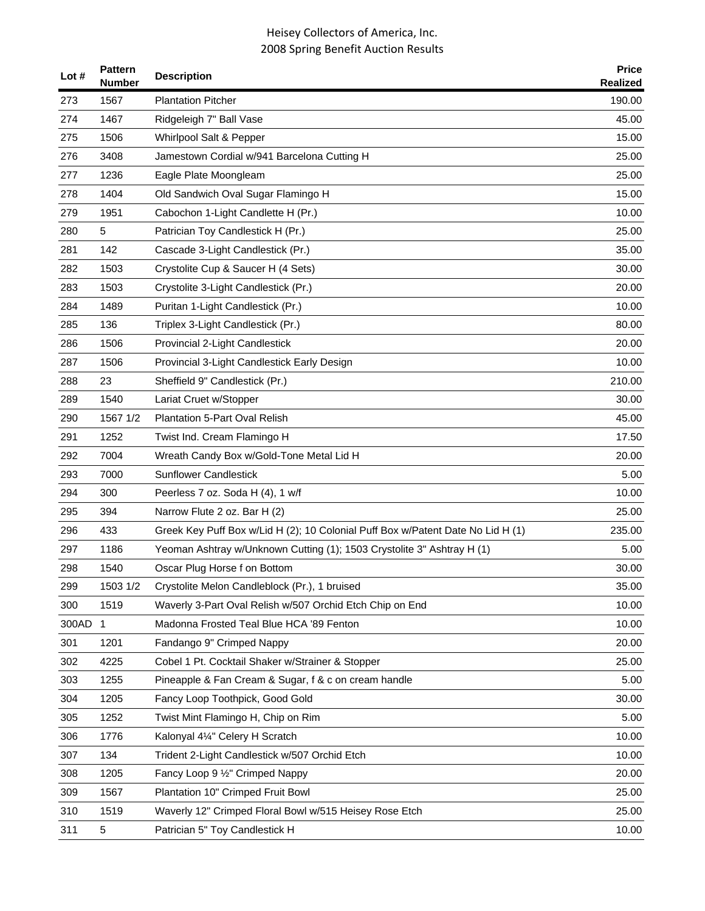| Lot # | <b>Pattern</b><br><b>Number</b> | <b>Description</b>                                                              | <b>Price</b><br><b>Realized</b> |
|-------|---------------------------------|---------------------------------------------------------------------------------|---------------------------------|
| 273   | 1567                            | <b>Plantation Pitcher</b>                                                       | 190.00                          |
| 274   | 1467                            | Ridgeleigh 7" Ball Vase                                                         | 45.00                           |
| 275   | 1506                            | Whirlpool Salt & Pepper                                                         | 15.00                           |
| 276   | 3408                            | Jamestown Cordial w/941 Barcelona Cutting H                                     | 25.00                           |
| 277   | 1236                            | Eagle Plate Moongleam                                                           | 25.00                           |
| 278   | 1404                            | Old Sandwich Oval Sugar Flamingo H                                              | 15.00                           |
| 279   | 1951                            | Cabochon 1-Light Candlette H (Pr.)                                              | 10.00                           |
| 280   | 5                               | Patrician Toy Candlestick H (Pr.)                                               | 25.00                           |
| 281   | 142                             | Cascade 3-Light Candlestick (Pr.)                                               | 35.00                           |
| 282   | 1503                            | Crystolite Cup & Saucer H (4 Sets)                                              | 30.00                           |
| 283   | 1503                            | Crystolite 3-Light Candlestick (Pr.)                                            | 20.00                           |
| 284   | 1489                            | Puritan 1-Light Candlestick (Pr.)                                               | 10.00                           |
| 285   | 136                             | Triplex 3-Light Candlestick (Pr.)                                               | 80.00                           |
| 286   | 1506                            | Provincial 2-Light Candlestick                                                  | 20.00                           |
| 287   | 1506                            | Provincial 3-Light Candlestick Early Design                                     | 10.00                           |
| 288   | 23                              | Sheffield 9" Candlestick (Pr.)                                                  | 210.00                          |
| 289   | 1540                            | Lariat Cruet w/Stopper                                                          | 30.00                           |
| 290   | 1567 1/2                        | Plantation 5-Part Oval Relish                                                   | 45.00                           |
| 291   | 1252                            | Twist Ind. Cream Flamingo H                                                     | 17.50                           |
| 292   | 7004                            | Wreath Candy Box w/Gold-Tone Metal Lid H                                        | 20.00                           |
| 293   | 7000                            | <b>Sunflower Candlestick</b>                                                    | 5.00                            |
| 294   | 300                             | Peerless 7 oz. Soda H (4), 1 w/f                                                | 10.00                           |
| 295   | 394                             | Narrow Flute 2 oz. Bar H (2)                                                    | 25.00                           |
| 296   | 433                             | Greek Key Puff Box w/Lid H (2); 10 Colonial Puff Box w/Patent Date No Lid H (1) | 235.00                          |
| 297   | 1186                            | Yeoman Ashtray w/Unknown Cutting (1); 1503 Crystolite 3" Ashtray H (1)          | 5.00                            |
| 298   | 1540                            | Oscar Plug Horse f on Bottom                                                    | 30.00                           |
| 299   | 1503 1/2                        | Crystolite Melon Candleblock (Pr.), 1 bruised                                   | 35.00                           |
| 300   | 1519                            | Waverly 3-Part Oval Relish w/507 Orchid Etch Chip on End                        | 10.00                           |
| 300AD | $\mathbf 1$                     | Madonna Frosted Teal Blue HCA '89 Fenton                                        | 10.00                           |
| 301   | 1201                            | Fandango 9" Crimped Nappy                                                       | 20.00                           |
| 302   | 4225                            | Cobel 1 Pt. Cocktail Shaker w/Strainer & Stopper                                | 25.00                           |
| 303   | 1255                            | Pineapple & Fan Cream & Sugar, f & c on cream handle                            | 5.00                            |
| 304   | 1205                            | Fancy Loop Toothpick, Good Gold                                                 | 30.00                           |
| 305   | 1252                            | Twist Mint Flamingo H, Chip on Rim                                              | 5.00                            |
| 306   | 1776                            | Kalonyal 41/4" Celery H Scratch                                                 | 10.00                           |
| 307   | 134                             | Trident 2-Light Candlestick w/507 Orchid Etch                                   | 10.00                           |
| 308   | 1205                            | Fancy Loop 9 1/2" Crimped Nappy                                                 | 20.00                           |
| 309   | 1567                            | Plantation 10" Crimped Fruit Bowl                                               | 25.00                           |
| 310   | 1519                            | Waverly 12" Crimped Floral Bowl w/515 Heisey Rose Etch                          | 25.00                           |
| 311   | 5                               | Patrician 5" Toy Candlestick H                                                  | 10.00                           |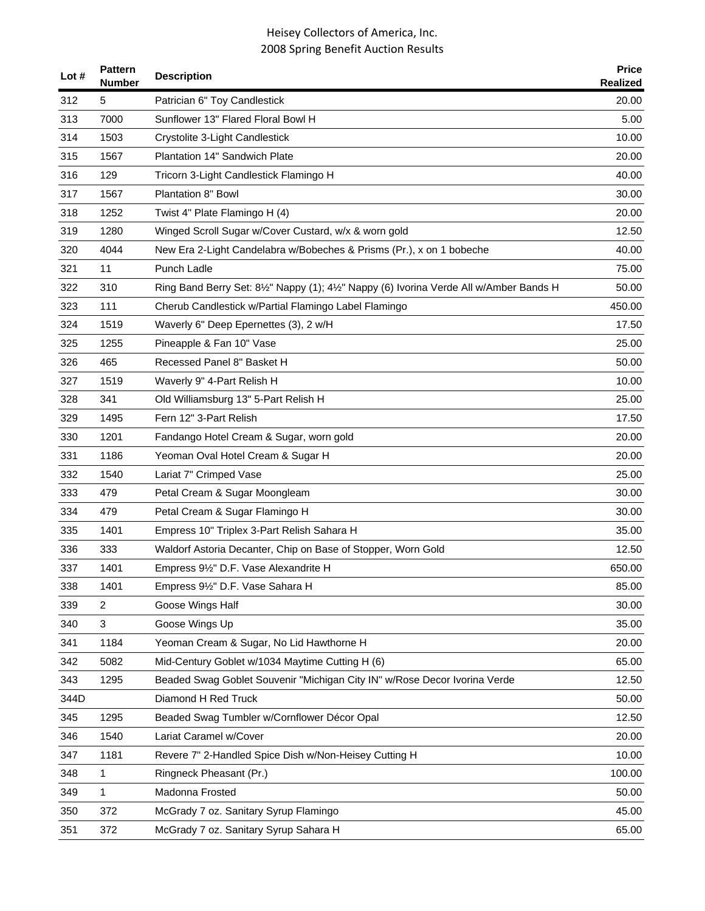| Lot $#$ | <b>Pattern</b><br><b>Number</b> | <b>Description</b>                                                                      | <b>Price</b><br><b>Realized</b> |
|---------|---------------------------------|-----------------------------------------------------------------------------------------|---------------------------------|
| 312     | 5                               | Patrician 6" Toy Candlestick                                                            | 20.00                           |
| 313     | 7000                            | Sunflower 13" Flared Floral Bowl H                                                      | 5.00                            |
| 314     | 1503                            | Crystolite 3-Light Candlestick                                                          | 10.00                           |
| 315     | 1567                            | Plantation 14" Sandwich Plate                                                           | 20.00                           |
| 316     | 129                             | Tricorn 3-Light Candlestick Flamingo H                                                  | 40.00                           |
| 317     | 1567                            | Plantation 8" Bowl                                                                      | 30.00                           |
| 318     | 1252                            | Twist 4" Plate Flamingo H (4)                                                           | 20.00                           |
| 319     | 1280                            | Winged Scroll Sugar w/Cover Custard, w/x & worn gold                                    | 12.50                           |
| 320     | 4044                            | New Era 2-Light Candelabra w/Bobeches & Prisms (Pr.), x on 1 bobeche                    | 40.00                           |
| 321     | 11                              | Punch Ladle                                                                             | 75.00                           |
| 322     | 310                             | Ring Band Berry Set: 81/2" Nappy (1); 41/2" Nappy (6) Ivorina Verde All w/Amber Bands H | 50.00                           |
| 323     | 111                             | Cherub Candlestick w/Partial Flamingo Label Flamingo                                    | 450.00                          |
| 324     | 1519                            | Waverly 6" Deep Epernettes (3), 2 w/H                                                   | 17.50                           |
| 325     | 1255                            | Pineapple & Fan 10" Vase                                                                | 25.00                           |
| 326     | 465                             | Recessed Panel 8" Basket H                                                              | 50.00                           |
| 327     | 1519                            | Waverly 9" 4-Part Relish H                                                              | 10.00                           |
| 328     | 341                             | Old Williamsburg 13" 5-Part Relish H                                                    | 25.00                           |
| 329     | 1495                            | Fern 12" 3-Part Relish                                                                  | 17.50                           |
| 330     | 1201                            | Fandango Hotel Cream & Sugar, worn gold                                                 | 20.00                           |
| 331     | 1186                            | Yeoman Oval Hotel Cream & Sugar H                                                       | 20.00                           |
| 332     | 1540                            | Lariat 7" Crimped Vase                                                                  | 25.00                           |
| 333     | 479                             | Petal Cream & Sugar Moongleam                                                           | 30.00                           |
| 334     | 479                             | Petal Cream & Sugar Flamingo H                                                          | 30.00                           |
| 335     | 1401                            | Empress 10" Triplex 3-Part Relish Sahara H                                              | 35.00                           |
| 336     | 333                             | Waldorf Astoria Decanter, Chip on Base of Stopper, Worn Gold                            | 12.50                           |
| 337     | 1401                            | Empress 91/2" D.F. Vase Alexandrite H                                                   | 650.00                          |
| 338     | 1401                            | Empress 91/2" D.F. Vase Sahara H                                                        | 85.00                           |
| 339     | 2                               | Goose Wings Half                                                                        | 30.00                           |
| 340     | 3                               | Goose Wings Up                                                                          | 35.00                           |
| 341     | 1184                            | Yeoman Cream & Sugar, No Lid Hawthorne H                                                | 20.00                           |
| 342     | 5082                            | Mid-Century Goblet w/1034 Maytime Cutting H (6)                                         | 65.00                           |
| 343     | 1295                            | Beaded Swag Goblet Souvenir "Michigan City IN" w/Rose Decor Ivorina Verde               | 12.50                           |
| 344D    |                                 | Diamond H Red Truck                                                                     | 50.00                           |
| 345     | 1295                            | Beaded Swag Tumbler w/Cornflower Décor Opal                                             | 12.50                           |
| 346     | 1540                            | Lariat Caramel w/Cover                                                                  | 20.00                           |
| 347     | 1181                            | Revere 7" 2-Handled Spice Dish w/Non-Heisey Cutting H                                   | 10.00                           |
| 348     | 1                               | Ringneck Pheasant (Pr.)                                                                 | 100.00                          |
| 349     | 1                               | Madonna Frosted                                                                         | 50.00                           |
| 350     | 372                             | McGrady 7 oz. Sanitary Syrup Flamingo                                                   | 45.00                           |
| 351     | 372                             | McGrady 7 oz. Sanitary Syrup Sahara H                                                   | 65.00                           |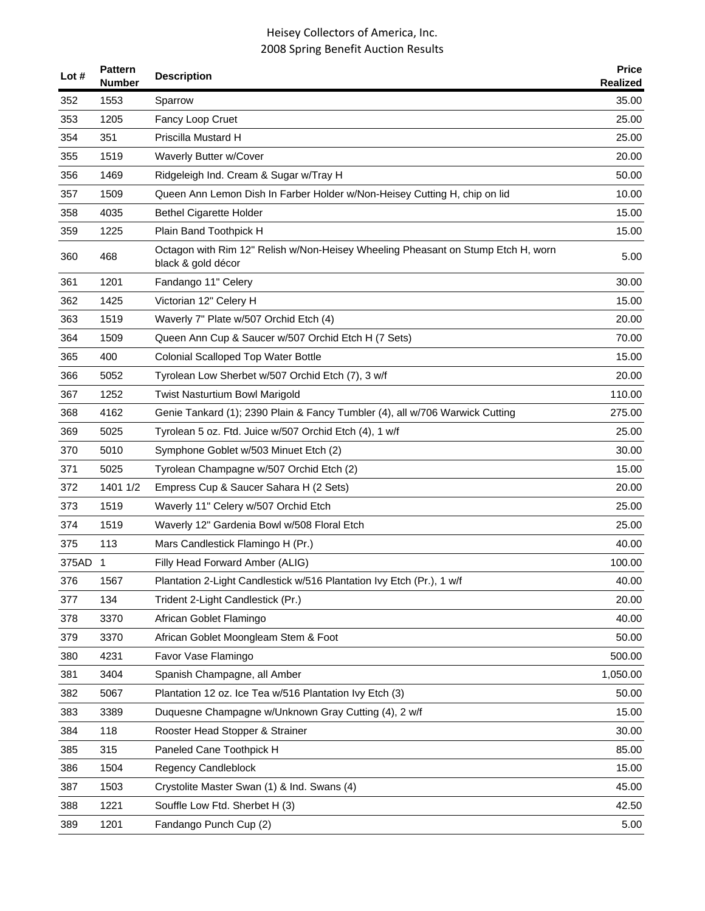| Lot $#$ | <b>Pattern</b><br><b>Number</b> | <b>Description</b>                                                                                     | <b>Price</b><br><b>Realized</b> |
|---------|---------------------------------|--------------------------------------------------------------------------------------------------------|---------------------------------|
| 352     | 1553                            | Sparrow                                                                                                | 35.00                           |
| 353     | 1205                            | Fancy Loop Cruet                                                                                       | 25.00                           |
| 354     | 351                             | Priscilla Mustard H                                                                                    | 25.00                           |
| 355     | 1519                            | Waverly Butter w/Cover                                                                                 | 20.00                           |
| 356     | 1469                            | Ridgeleigh Ind. Cream & Sugar w/Tray H                                                                 | 50.00                           |
| 357     | 1509                            | Queen Ann Lemon Dish In Farber Holder w/Non-Heisey Cutting H, chip on lid                              | 10.00                           |
| 358     | 4035                            | <b>Bethel Cigarette Holder</b>                                                                         | 15.00                           |
| 359     | 1225                            | Plain Band Toothpick H                                                                                 | 15.00                           |
| 360     | 468                             | Octagon with Rim 12" Relish w/Non-Heisey Wheeling Pheasant on Stump Etch H, worn<br>black & gold décor | 5.00                            |
| 361     | 1201                            | Fandango 11" Celery                                                                                    | 30.00                           |
| 362     | 1425                            | Victorian 12" Celery H                                                                                 | 15.00                           |
| 363     | 1519                            | Waverly 7" Plate w/507 Orchid Etch (4)                                                                 | 20.00                           |
| 364     | 1509                            | Queen Ann Cup & Saucer w/507 Orchid Etch H (7 Sets)                                                    | 70.00                           |
| 365     | 400                             | <b>Colonial Scalloped Top Water Bottle</b>                                                             | 15.00                           |
| 366     | 5052                            | Tyrolean Low Sherbet w/507 Orchid Etch (7), 3 w/f                                                      | 20.00                           |
| 367     | 1252                            | <b>Twist Nasturtium Bowl Marigold</b>                                                                  | 110.00                          |
| 368     | 4162                            | Genie Tankard (1); 2390 Plain & Fancy Tumbler (4), all w/706 Warwick Cutting                           | 275.00                          |
| 369     | 5025                            | Tyrolean 5 oz. Ftd. Juice w/507 Orchid Etch (4), 1 w/f                                                 | 25.00                           |
| 370     | 5010                            | Symphone Goblet w/503 Minuet Etch (2)                                                                  | 30.00                           |
| 371     | 5025                            | Tyrolean Champagne w/507 Orchid Etch (2)                                                               | 15.00                           |
| 372     | 1401 1/2                        | Empress Cup & Saucer Sahara H (2 Sets)                                                                 | 20.00                           |
| 373     | 1519                            | Waverly 11" Celery w/507 Orchid Etch                                                                   | 25.00                           |
| 374     | 1519                            | Waverly 12" Gardenia Bowl w/508 Floral Etch                                                            | 25.00                           |
| 375     | 113                             | Mars Candlestick Flamingo H (Pr.)                                                                      | 40.00                           |
| 375AD 1 |                                 | Filly Head Forward Amber (ALIG)                                                                        | 100.00                          |
| 376     | 1567                            | Plantation 2-Light Candlestick w/516 Plantation Ivy Etch (Pr.), 1 w/f                                  | 40.00                           |
| 377     | 134                             | Trident 2-Light Candlestick (Pr.)                                                                      | 20.00                           |
| 378     | 3370                            | African Goblet Flamingo                                                                                | 40.00                           |
| 379     | 3370                            | African Goblet Moongleam Stem & Foot                                                                   | 50.00                           |
| 380     | 4231                            | Favor Vase Flamingo                                                                                    | 500.00                          |
| 381     | 3404                            | Spanish Champagne, all Amber                                                                           | 1,050.00                        |
| 382     | 5067                            | Plantation 12 oz. Ice Tea w/516 Plantation Ivy Etch (3)                                                | 50.00                           |
| 383     | 3389                            | Duquesne Champagne w/Unknown Gray Cutting (4), 2 w/f                                                   | 15.00                           |
| 384     | 118                             | Rooster Head Stopper & Strainer                                                                        | 30.00                           |
| 385     | 315                             | Paneled Cane Toothpick H                                                                               | 85.00                           |
| 386     | 1504                            | Regency Candleblock                                                                                    | 15.00                           |
| 387     | 1503                            | Crystolite Master Swan (1) & Ind. Swans (4)                                                            | 45.00                           |
| 388     | 1221                            | Souffle Low Ftd. Sherbet H (3)                                                                         | 42.50                           |
| 389     | 1201                            | Fandango Punch Cup (2)                                                                                 | 5.00                            |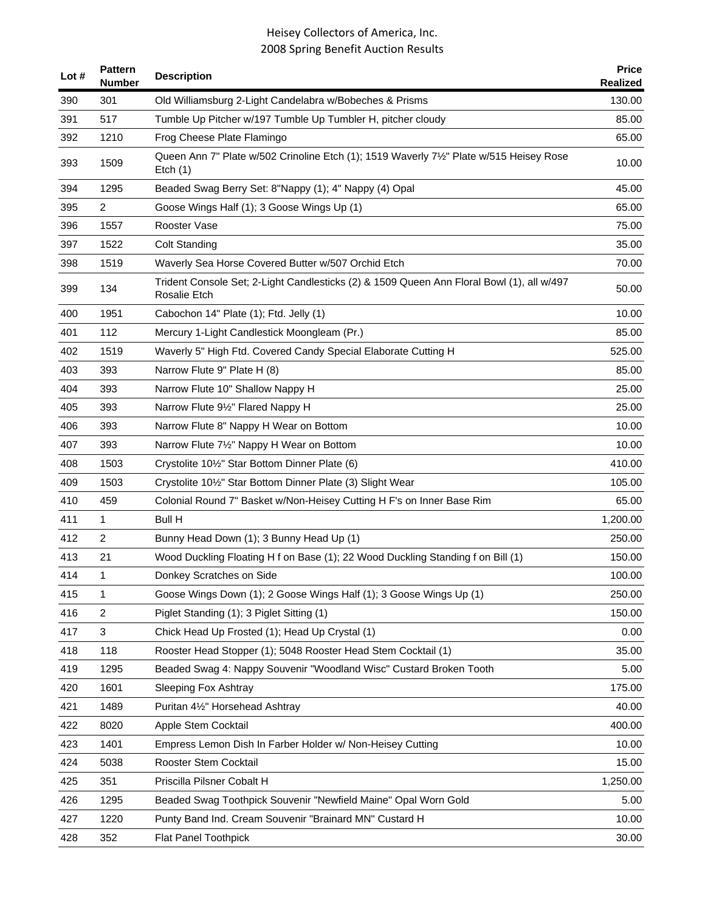| Lot # | <b>Pattern</b><br><b>Number</b> | <b>Description</b>                                                                                        | <b>Price</b><br>Realized |
|-------|---------------------------------|-----------------------------------------------------------------------------------------------------------|--------------------------|
| 390   | 301                             | Old Williamsburg 2-Light Candelabra w/Bobeches & Prisms                                                   | 130.00                   |
| 391   | 517                             | Tumble Up Pitcher w/197 Tumble Up Tumbler H, pitcher cloudy                                               | 85.00                    |
| 392   | 1210                            | Frog Cheese Plate Flamingo                                                                                | 65.00                    |
| 393   | 1509                            | Queen Ann 7" Plate w/502 Crinoline Etch (1); 1519 Waverly 71/2" Plate w/515 Heisey Rose<br>Etch $(1)$     | 10.00                    |
| 394   | 1295                            | Beaded Swag Berry Set: 8"Nappy (1); 4" Nappy (4) Opal                                                     | 45.00                    |
| 395   | $\overline{c}$                  | Goose Wings Half (1); 3 Goose Wings Up (1)                                                                | 65.00                    |
| 396   | 1557                            | Rooster Vase                                                                                              | 75.00                    |
| 397   | 1522                            | <b>Colt Standing</b>                                                                                      | 35.00                    |
| 398   | 1519                            | Waverly Sea Horse Covered Butter w/507 Orchid Etch                                                        | 70.00                    |
| 399   | 134                             | Trident Console Set; 2-Light Candlesticks (2) & 1509 Queen Ann Floral Bowl (1), all w/497<br>Rosalie Etch | 50.00                    |
| 400   | 1951                            | Cabochon 14" Plate (1); Ftd. Jelly (1)                                                                    | 10.00                    |
| 401   | 112                             | Mercury 1-Light Candlestick Moongleam (Pr.)                                                               | 85.00                    |
| 402   | 1519                            | Waverly 5" High Ftd. Covered Candy Special Elaborate Cutting H                                            | 525.00                   |
| 403   | 393                             | Narrow Flute 9" Plate H (8)                                                                               | 85.00                    |
| 404   | 393                             | Narrow Flute 10" Shallow Nappy H                                                                          | 25.00                    |
| 405   | 393                             | Narrow Flute 91/2" Flared Nappy H                                                                         | 25.00                    |
| 406   | 393                             | Narrow Flute 8" Nappy H Wear on Bottom                                                                    | 10.00                    |
| 407   | 393                             | Narrow Flute 71/2" Nappy H Wear on Bottom                                                                 | 10.00                    |
| 408   | 1503                            | Crystolite 10 <sup>1</sup> / <sub>2</sub> " Star Bottom Dinner Plate (6)                                  | 410.00                   |
| 409   | 1503                            | Crystolite 101/2" Star Bottom Dinner Plate (3) Slight Wear                                                | 105.00                   |
| 410   | 459                             | Colonial Round 7" Basket w/Non-Heisey Cutting H F's on Inner Base Rim                                     | 65.00                    |
| 411   | 1                               | <b>Bull H</b>                                                                                             | 1,200.00                 |
| 412   | $\overline{c}$                  | Bunny Head Down (1); 3 Bunny Head Up (1)                                                                  | 250.00                   |
| 413   | 21                              | Wood Duckling Floating H f on Base (1); 22 Wood Duckling Standing f on Bill (1)                           | 150.00                   |
| 414   | 1                               | Donkey Scratches on Side                                                                                  | 100.00                   |
| 415   | 1                               | Goose Wings Down (1); 2 Goose Wings Half (1); 3 Goose Wings Up (1)                                        | 250.00                   |
| 416   | $\overline{c}$                  | Piglet Standing (1); 3 Piglet Sitting (1)                                                                 | 150.00                   |
| 417   | 3                               | Chick Head Up Frosted (1); Head Up Crystal (1)                                                            | 0.00                     |
| 418   | 118                             | Rooster Head Stopper (1); 5048 Rooster Head Stem Cocktail (1)                                             | 35.00                    |
| 419   | 1295                            | Beaded Swag 4: Nappy Souvenir "Woodland Wisc" Custard Broken Tooth                                        | 5.00                     |
| 420   | 1601                            | <b>Sleeping Fox Ashtray</b>                                                                               | 175.00                   |
| 421   | 1489                            | Puritan 41/2" Horsehead Ashtray                                                                           | 40.00                    |
| 422   | 8020                            | Apple Stem Cocktail                                                                                       | 400.00                   |
| 423   | 1401                            | Empress Lemon Dish In Farber Holder w/ Non-Heisey Cutting                                                 | 10.00                    |
| 424   | 5038                            | Rooster Stem Cocktail                                                                                     | 15.00                    |
| 425   | 351                             | Priscilla Pilsner Cobalt H                                                                                | 1,250.00                 |
| 426   | 1295                            | Beaded Swag Toothpick Souvenir "Newfield Maine" Opal Worn Gold                                            | 5.00                     |
| 427   | 1220                            | Punty Band Ind. Cream Souvenir "Brainard MN" Custard H                                                    | 10.00                    |
| 428   | 352                             | Flat Panel Toothpick                                                                                      | 30.00                    |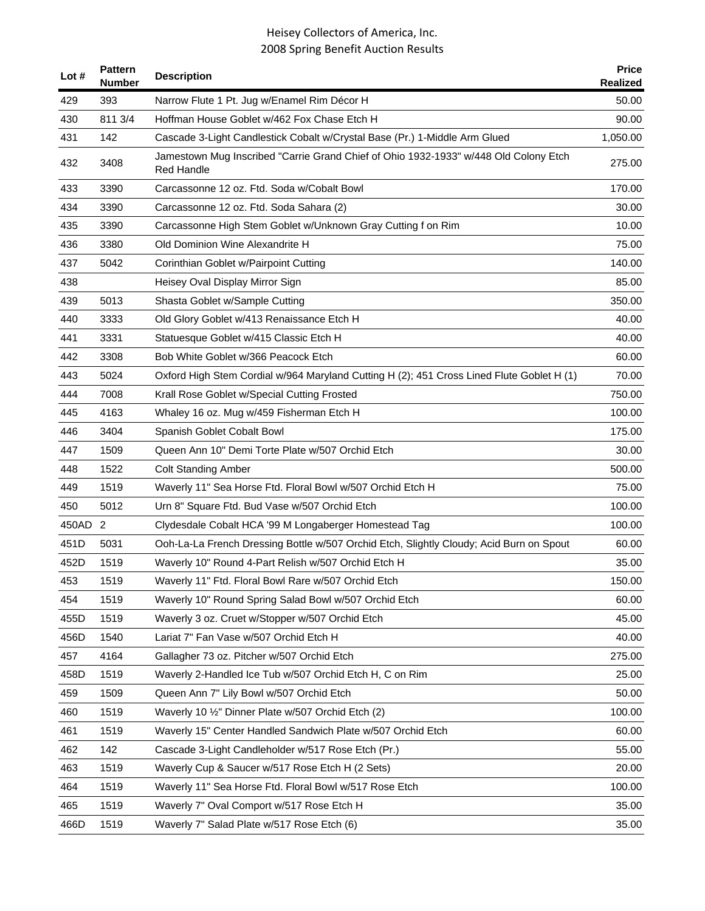| Lot $#$ | <b>Pattern</b><br><b>Number</b> | <b>Description</b>                                                                                        | <b>Price</b><br><b>Realized</b> |
|---------|---------------------------------|-----------------------------------------------------------------------------------------------------------|---------------------------------|
| 429     | 393                             | Narrow Flute 1 Pt. Jug w/Enamel Rim Décor H                                                               | 50.00                           |
| 430     | 811 3/4                         | Hoffman House Goblet w/462 Fox Chase Etch H                                                               | 90.00                           |
| 431     | 142                             | Cascade 3-Light Candlestick Cobalt w/Crystal Base (Pr.) 1-Middle Arm Glued                                | 1,050.00                        |
| 432     | 3408                            | Jamestown Mug Inscribed "Carrie Grand Chief of Ohio 1932-1933" w/448 Old Colony Etch<br><b>Red Handle</b> | 275.00                          |
| 433     | 3390                            | Carcassonne 12 oz. Ftd. Soda w/Cobalt Bowl                                                                | 170.00                          |
| 434     | 3390                            | Carcassonne 12 oz. Ftd. Soda Sahara (2)                                                                   | 30.00                           |
| 435     | 3390                            | Carcassonne High Stem Goblet w/Unknown Gray Cutting f on Rim                                              | 10.00                           |
| 436     | 3380                            | Old Dominion Wine Alexandrite H                                                                           | 75.00                           |
| 437     | 5042                            | Corinthian Goblet w/Pairpoint Cutting                                                                     | 140.00                          |
| 438     |                                 | Heisey Oval Display Mirror Sign                                                                           | 85.00                           |
| 439     | 5013                            | Shasta Goblet w/Sample Cutting                                                                            | 350.00                          |
| 440     | 3333                            | Old Glory Goblet w/413 Renaissance Etch H                                                                 | 40.00                           |
| 441     | 3331                            | Statuesque Goblet w/415 Classic Etch H                                                                    | 40.00                           |
| 442     | 3308                            | Bob White Goblet w/366 Peacock Etch                                                                       | 60.00                           |
| 443     | 5024                            | Oxford High Stem Cordial w/964 Maryland Cutting H (2); 451 Cross Lined Flute Goblet H (1)                 | 70.00                           |
| 444     | 7008                            | Krall Rose Goblet w/Special Cutting Frosted                                                               | 750.00                          |
| 445     | 4163                            | Whaley 16 oz. Mug w/459 Fisherman Etch H                                                                  | 100.00                          |
| 446     | 3404                            | Spanish Goblet Cobalt Bowl                                                                                | 175.00                          |
| 447     | 1509                            | Queen Ann 10" Demi Torte Plate w/507 Orchid Etch                                                          | 30.00                           |
| 448     | 1522                            | <b>Colt Standing Amber</b>                                                                                | 500.00                          |
| 449     | 1519                            | Waverly 11" Sea Horse Ftd. Floral Bowl w/507 Orchid Etch H                                                | 75.00                           |
| 450     | 5012                            | Urn 8" Square Ftd. Bud Vase w/507 Orchid Etch                                                             | 100.00                          |
| 450AD 2 |                                 | Clydesdale Cobalt HCA '99 M Longaberger Homestead Tag                                                     | 100.00                          |
| 451D    | 5031                            | Ooh-La-La French Dressing Bottle w/507 Orchid Etch, Slightly Cloudy; Acid Burn on Spout                   | 60.00                           |
| 452D    | 1519                            | Waverly 10" Round 4-Part Relish w/507 Orchid Etch H                                                       | 35.00                           |
| 453     | 1519                            | Waverly 11" Ftd. Floral Bowl Rare w/507 Orchid Etch                                                       | 150.00                          |
| 454     | 1519                            | Waverly 10" Round Spring Salad Bowl w/507 Orchid Etch                                                     | 60.00                           |
| 455D    | 1519                            | Waverly 3 oz. Cruet w/Stopper w/507 Orchid Etch                                                           | 45.00                           |
| 456D    | 1540                            | Lariat 7" Fan Vase w/507 Orchid Etch H                                                                    | 40.00                           |
| 457     | 4164                            | Gallagher 73 oz. Pitcher w/507 Orchid Etch                                                                | 275.00                          |
| 458D    | 1519                            | Waverly 2-Handled Ice Tub w/507 Orchid Etch H, C on Rim                                                   | 25.00                           |
| 459     | 1509                            | Queen Ann 7" Lily Bowl w/507 Orchid Etch                                                                  | 50.00                           |
| 460     | 1519                            | Waverly 10 1/2" Dinner Plate w/507 Orchid Etch (2)                                                        | 100.00                          |
| 461     | 1519                            | Waverly 15" Center Handled Sandwich Plate w/507 Orchid Etch                                               | 60.00                           |
| 462     | 142                             | Cascade 3-Light Candleholder w/517 Rose Etch (Pr.)                                                        | 55.00                           |
| 463     | 1519                            | Waverly Cup & Saucer w/517 Rose Etch H (2 Sets)                                                           | 20.00                           |
| 464     | 1519                            | Waverly 11" Sea Horse Ftd. Floral Bowl w/517 Rose Etch                                                    | 100.00                          |
| 465     | 1519                            | Waverly 7" Oval Comport w/517 Rose Etch H                                                                 | 35.00                           |
| 466D    | 1519                            | Waverly 7" Salad Plate w/517 Rose Etch (6)                                                                | 35.00                           |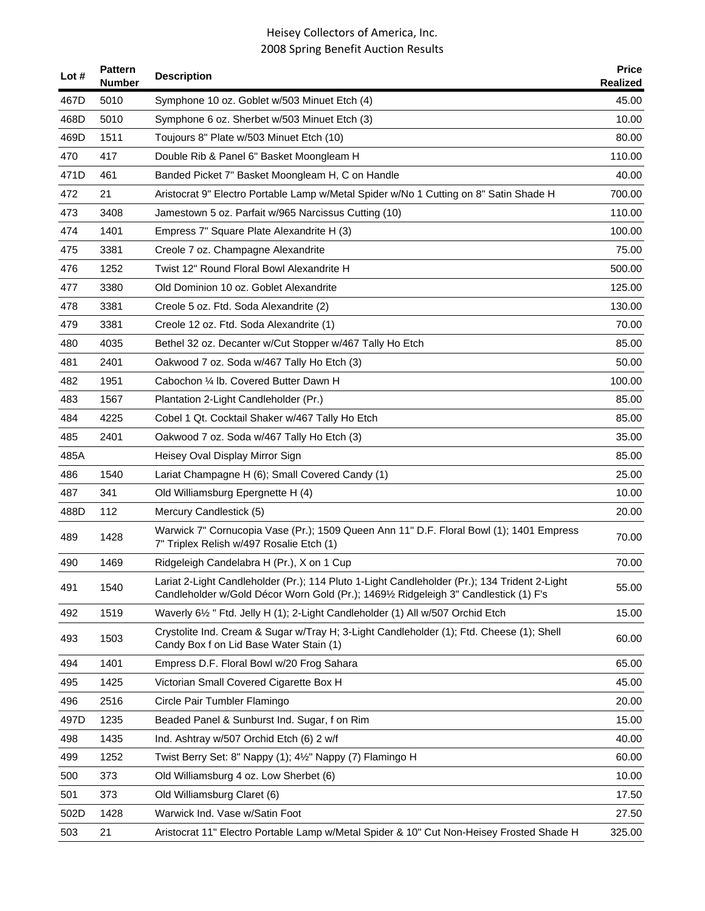| Lot $#$ | <b>Pattern</b><br><b>Number</b> | <b>Description</b>                                                                                                                                                                 | <b>Price</b><br>Realized |
|---------|---------------------------------|------------------------------------------------------------------------------------------------------------------------------------------------------------------------------------|--------------------------|
| 467D    | 5010                            | Symphone 10 oz. Goblet w/503 Minuet Etch (4)                                                                                                                                       | 45.00                    |
| 468D    | 5010                            | Symphone 6 oz. Sherbet w/503 Minuet Etch (3)                                                                                                                                       | 10.00                    |
| 469D    | 1511                            | Toujours 8" Plate w/503 Minuet Etch (10)                                                                                                                                           | 80.00                    |
| 470     | 417                             | Double Rib & Panel 6" Basket Moongleam H                                                                                                                                           | 110.00                   |
| 471D    | 461                             | Banded Picket 7" Basket Moongleam H, C on Handle                                                                                                                                   | 40.00                    |
| 472     | 21                              | Aristocrat 9" Electro Portable Lamp w/Metal Spider w/No 1 Cutting on 8" Satin Shade H                                                                                              | 700.00                   |
| 473     | 3408                            | Jamestown 5 oz. Parfait w/965 Narcissus Cutting (10)                                                                                                                               | 110.00                   |
| 474     | 1401                            | Empress 7" Square Plate Alexandrite H (3)                                                                                                                                          | 100.00                   |
| 475     | 3381                            | Creole 7 oz. Champagne Alexandrite                                                                                                                                                 | 75.00                    |
| 476     | 1252                            | Twist 12" Round Floral Bowl Alexandrite H                                                                                                                                          | 500.00                   |
| 477     | 3380                            | Old Dominion 10 oz. Goblet Alexandrite                                                                                                                                             | 125.00                   |
| 478     | 3381                            | Creole 5 oz. Ftd. Soda Alexandrite (2)                                                                                                                                             | 130.00                   |
| 479     | 3381                            | Creole 12 oz. Ftd. Soda Alexandrite (1)                                                                                                                                            | 70.00                    |
| 480     | 4035                            | Bethel 32 oz. Decanter w/Cut Stopper w/467 Tally Ho Etch                                                                                                                           | 85.00                    |
| 481     | 2401                            | Oakwood 7 oz. Soda w/467 Tally Ho Etch (3)                                                                                                                                         | 50.00                    |
| 482     | 1951                            | Cabochon 1/4 lb. Covered Butter Dawn H                                                                                                                                             | 100.00                   |
| 483     | 1567                            | Plantation 2-Light Candleholder (Pr.)                                                                                                                                              | 85.00                    |
| 484     | 4225                            | Cobel 1 Qt. Cocktail Shaker w/467 Tally Ho Etch                                                                                                                                    | 85.00                    |
| 485     | 2401                            | Oakwood 7 oz. Soda w/467 Tally Ho Etch (3)                                                                                                                                         | 35.00                    |
| 485A    |                                 | Heisey Oval Display Mirror Sign                                                                                                                                                    | 85.00                    |
| 486     | 1540                            | Lariat Champagne H (6); Small Covered Candy (1)                                                                                                                                    | 25.00                    |
| 487     | 341                             | Old Williamsburg Epergnette H (4)                                                                                                                                                  | 10.00                    |
| 488D    | 112                             | Mercury Candlestick (5)                                                                                                                                                            | 20.00                    |
| 489     | 1428                            | Warwick 7" Cornucopia Vase (Pr.); 1509 Queen Ann 11" D.F. Floral Bowl (1); 1401 Empress<br>7" Triplex Relish w/497 Rosalie Etch (1)                                                | 70.00                    |
| 490     | 1469                            | Ridgeleigh Candelabra H (Pr.), X on 1 Cup                                                                                                                                          | 70.00                    |
| 491     | 1540                            | Lariat 2-Light Candleholder (Pr.); 114 Pluto 1-Light Candleholder (Pr.); 134 Trident 2-Light<br>Candleholder w/Gold Décor Worn Gold (Pr.); 1469½ Ridgeleigh 3" Candlestick (1) F's | 55.00                    |
| 492     | 1519                            | Waverly 61/2 " Ftd. Jelly H (1); 2-Light Candleholder (1) All w/507 Orchid Etch                                                                                                    | 15.00                    |
| 493     | 1503                            | Crystolite Ind. Cream & Sugar w/Tray H; 3-Light Candleholder (1); Ftd. Cheese (1); Shell<br>Candy Box f on Lid Base Water Stain (1)                                                | 60.00                    |
| 494     | 1401                            | Empress D.F. Floral Bowl w/20 Frog Sahara                                                                                                                                          | 65.00                    |
| 495     | 1425                            | Victorian Small Covered Cigarette Box H                                                                                                                                            | 45.00                    |
| 496     | 2516                            | Circle Pair Tumbler Flamingo                                                                                                                                                       | 20.00                    |
| 497D    | 1235                            | Beaded Panel & Sunburst Ind. Sugar, f on Rim                                                                                                                                       | 15.00                    |
| 498     | 1435                            | Ind. Ashtray w/507 Orchid Etch (6) 2 w/f                                                                                                                                           | 40.00                    |
| 499     | 1252                            | Twist Berry Set: 8" Nappy (1); 41/2" Nappy (7) Flamingo H                                                                                                                          | 60.00                    |
| 500     | 373                             | Old Williamsburg 4 oz. Low Sherbet (6)                                                                                                                                             | 10.00                    |
| 501     | 373                             | Old Williamsburg Claret (6)                                                                                                                                                        | 17.50                    |
| 502D    | 1428                            | Warwick Ind. Vase w/Satin Foot                                                                                                                                                     | 27.50                    |
| 503     | 21                              | Aristocrat 11" Electro Portable Lamp w/Metal Spider & 10" Cut Non-Heisey Frosted Shade H                                                                                           | 325.00                   |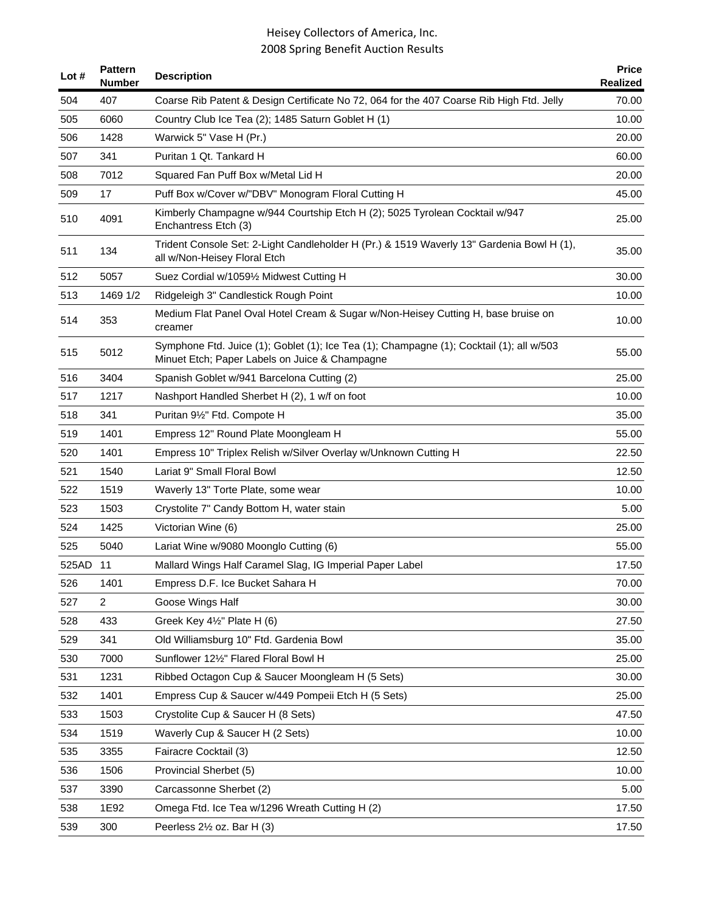| Lot #    | <b>Pattern</b><br><b>Number</b> | <b>Description</b>                                                                                                                         | <b>Price</b><br>Realized |
|----------|---------------------------------|--------------------------------------------------------------------------------------------------------------------------------------------|--------------------------|
| 504      | 407                             | Coarse Rib Patent & Design Certificate No 72, 064 for the 407 Coarse Rib High Ftd. Jelly                                                   | 70.00                    |
| 505      | 6060                            | Country Club Ice Tea (2); 1485 Saturn Goblet H (1)                                                                                         | 10.00                    |
| 506      | 1428                            | Warwick 5" Vase H (Pr.)                                                                                                                    | 20.00                    |
| 507      | 341                             | Puritan 1 Qt. Tankard H                                                                                                                    | 60.00                    |
| 508      | 7012                            | Squared Fan Puff Box w/Metal Lid H                                                                                                         | 20.00                    |
| 509      | 17                              | Puff Box w/Cover w/"DBV" Monogram Floral Cutting H                                                                                         | 45.00                    |
| 510      | 4091                            | Kimberly Champagne w/944 Courtship Etch H (2); 5025 Tyrolean Cocktail w/947<br>Enchantress Etch (3)                                        | 25.00                    |
| 511      | 134                             | Trident Console Set: 2-Light Candleholder H (Pr.) & 1519 Waverly 13" Gardenia Bowl H (1),<br>all w/Non-Heisey Floral Etch                  | 35.00                    |
| 512      | 5057                            | Suez Cordial w/10591/2 Midwest Cutting H                                                                                                   | 30.00                    |
| 513      | 1469 1/2                        | Ridgeleigh 3" Candlestick Rough Point                                                                                                      | 10.00                    |
| 514      | 353                             | Medium Flat Panel Oval Hotel Cream & Sugar w/Non-Heisey Cutting H, base bruise on<br>creamer                                               | 10.00                    |
| 515      | 5012                            | Symphone Ftd. Juice (1); Goblet (1); Ice Tea (1); Champagne (1); Cocktail (1); all w/503<br>Minuet Etch; Paper Labels on Juice & Champagne | 55.00                    |
| 516      | 3404                            | Spanish Goblet w/941 Barcelona Cutting (2)                                                                                                 | 25.00                    |
| 517      | 1217                            | Nashport Handled Sherbet H (2), 1 w/f on foot                                                                                              | 10.00                    |
| 518      | 341                             | Puritan 91/2" Ftd. Compote H                                                                                                               | 35.00                    |
| 519      | 1401                            | Empress 12" Round Plate Moongleam H                                                                                                        | 55.00                    |
| 520      | 1401                            | Empress 10" Triplex Relish w/Silver Overlay w/Unknown Cutting H                                                                            | 22.50                    |
| 521      | 1540                            | Lariat 9" Small Floral Bowl                                                                                                                | 12.50                    |
| 522      | 1519                            | Waverly 13" Torte Plate, some wear                                                                                                         | 10.00                    |
| 523      | 1503                            | Crystolite 7" Candy Bottom H, water stain                                                                                                  | 5.00                     |
| 524      | 1425                            | Victorian Wine (6)                                                                                                                         | 25.00                    |
| 525      | 5040                            | Lariat Wine w/9080 Moonglo Cutting (6)                                                                                                     | 55.00                    |
| 525AD 11 |                                 | Mallard Wings Half Caramel Slag, IG Imperial Paper Label                                                                                   | 17.50                    |
| 526      | 1401                            | Empress D.F. Ice Bucket Sahara H                                                                                                           | 70.00                    |
| 527      | $\overline{2}$                  | Goose Wings Half                                                                                                                           | 30.00                    |
| 528      | 433                             | Greek Key 41/2" Plate H (6)                                                                                                                | 27.50                    |
| 529      | 341                             | Old Williamsburg 10" Ftd. Gardenia Bowl                                                                                                    | 35.00                    |
| 530      | 7000                            | Sunflower 121/2" Flared Floral Bowl H                                                                                                      | 25.00                    |
| 531      | 1231                            | Ribbed Octagon Cup & Saucer Moongleam H (5 Sets)                                                                                           | 30.00                    |
| 532      | 1401                            | Empress Cup & Saucer w/449 Pompeii Etch H (5 Sets)                                                                                         | 25.00                    |
| 533      | 1503                            | Crystolite Cup & Saucer H (8 Sets)                                                                                                         | 47.50                    |
| 534      | 1519                            | Waverly Cup & Saucer H (2 Sets)                                                                                                            | 10.00                    |
| 535      | 3355                            | Fairacre Cocktail (3)                                                                                                                      | 12.50                    |
| 536      | 1506                            | Provincial Sherbet (5)                                                                                                                     | 10.00                    |
| 537      | 3390                            | Carcassonne Sherbet (2)                                                                                                                    | 5.00                     |
| 538      | 1E92                            | Omega Ftd. Ice Tea w/1296 Wreath Cutting H (2)                                                                                             | 17.50                    |
| 539      | 300                             | Peerless 21/2 oz. Bar H (3)                                                                                                                | 17.50                    |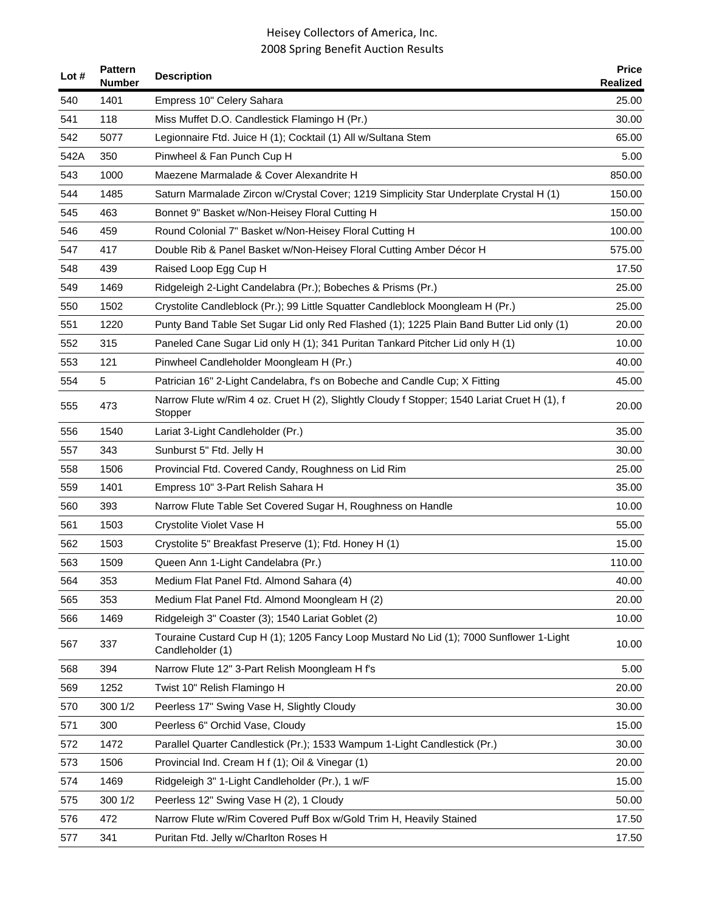| Lot $#$ | <b>Pattern</b><br><b>Number</b> | <b>Description</b>                                                                                         | <b>Price</b><br>Realized |
|---------|---------------------------------|------------------------------------------------------------------------------------------------------------|--------------------------|
| 540     | 1401                            | Empress 10" Celery Sahara                                                                                  | 25.00                    |
| 541     | 118                             | Miss Muffet D.O. Candlestick Flamingo H (Pr.)                                                              | 30.00                    |
| 542     | 5077                            | Legionnaire Ftd. Juice H (1); Cocktail (1) All w/Sultana Stem                                              | 65.00                    |
| 542A    | 350                             | Pinwheel & Fan Punch Cup H                                                                                 | 5.00                     |
| 543     | 1000                            | Maezene Marmalade & Cover Alexandrite H                                                                    | 850.00                   |
| 544     | 1485                            | Saturn Marmalade Zircon w/Crystal Cover; 1219 Simplicity Star Underplate Crystal H (1)                     | 150.00                   |
| 545     | 463                             | Bonnet 9" Basket w/Non-Heisey Floral Cutting H                                                             | 150.00                   |
| 546     | 459                             | Round Colonial 7" Basket w/Non-Heisey Floral Cutting H                                                     | 100.00                   |
| 547     | 417                             | Double Rib & Panel Basket w/Non-Heisey Floral Cutting Amber Décor H                                        | 575.00                   |
| 548     | 439                             | Raised Loop Egg Cup H                                                                                      | 17.50                    |
| 549     | 1469                            | Ridgeleigh 2-Light Candelabra (Pr.); Bobeches & Prisms (Pr.)                                               | 25.00                    |
| 550     | 1502                            | Crystolite Candleblock (Pr.); 99 Little Squatter Candleblock Moongleam H (Pr.)                             | 25.00                    |
| 551     | 1220                            | Punty Band Table Set Sugar Lid only Red Flashed (1); 1225 Plain Band Butter Lid only (1)                   | 20.00                    |
| 552     | 315                             | Paneled Cane Sugar Lid only H (1); 341 Puritan Tankard Pitcher Lid only H (1)                              | 10.00                    |
| 553     | 121                             | Pinwheel Candleholder Moongleam H (Pr.)                                                                    | 40.00                    |
| 554     | 5                               | Patrician 16" 2-Light Candelabra, f's on Bobeche and Candle Cup; X Fitting                                 | 45.00                    |
| 555     | 473                             | Narrow Flute w/Rim 4 oz. Cruet H (2), Slightly Cloudy f Stopper; 1540 Lariat Cruet H (1), f<br>Stopper     | 20.00                    |
| 556     | 1540                            | Lariat 3-Light Candleholder (Pr.)                                                                          | 35.00                    |
| 557     | 343                             | Sunburst 5" Ftd. Jelly H                                                                                   | 30.00                    |
| 558     | 1506                            | Provincial Ftd. Covered Candy, Roughness on Lid Rim                                                        | 25.00                    |
| 559     | 1401                            | Empress 10" 3-Part Relish Sahara H                                                                         | 35.00                    |
| 560     | 393                             | Narrow Flute Table Set Covered Sugar H, Roughness on Handle                                                | 10.00                    |
| 561     | 1503                            | Crystolite Violet Vase H                                                                                   | 55.00                    |
| 562     | 1503                            | Crystolite 5" Breakfast Preserve (1); Ftd. Honey H (1)                                                     | 15.00                    |
| 563     | 1509                            | Queen Ann 1-Light Candelabra (Pr.)                                                                         | 110.00                   |
| 564     | 353                             | Medium Flat Panel Ftd. Almond Sahara (4)                                                                   | 40.00                    |
| 565     | 353                             | Medium Flat Panel Ftd. Almond Moongleam H (2)                                                              | 20.00                    |
| 566     | 1469                            | Ridgeleigh 3" Coaster (3); 1540 Lariat Goblet (2)                                                          | 10.00                    |
| 567     | 337                             | Touraine Custard Cup H (1); 1205 Fancy Loop Mustard No Lid (1); 7000 Sunflower 1-Light<br>Candleholder (1) | 10.00                    |
| 568     | 394                             | Narrow Flute 12" 3-Part Relish Moongleam H f's                                                             | 5.00                     |
| 569     | 1252                            | Twist 10" Relish Flamingo H                                                                                | 20.00                    |
| 570     | 300 1/2                         | Peerless 17" Swing Vase H, Slightly Cloudy                                                                 | 30.00                    |
| 571     | 300                             | Peerless 6" Orchid Vase, Cloudy                                                                            | 15.00                    |
| 572     | 1472                            | Parallel Quarter Candlestick (Pr.); 1533 Wampum 1-Light Candlestick (Pr.)                                  | 30.00                    |
| 573     | 1506                            | Provincial Ind. Cream H f (1); Oil & Vinegar (1)                                                           | 20.00                    |
| 574     | 1469                            | Ridgeleigh 3" 1-Light Candleholder (Pr.), 1 w/F                                                            | 15.00                    |
| 575     | 300 1/2                         | Peerless 12" Swing Vase H (2), 1 Cloudy                                                                    | 50.00                    |
| 576     | 472                             | Narrow Flute w/Rim Covered Puff Box w/Gold Trim H, Heavily Stained                                         | 17.50                    |
| 577     | 341                             | Puritan Ftd. Jelly w/Charlton Roses H                                                                      | 17.50                    |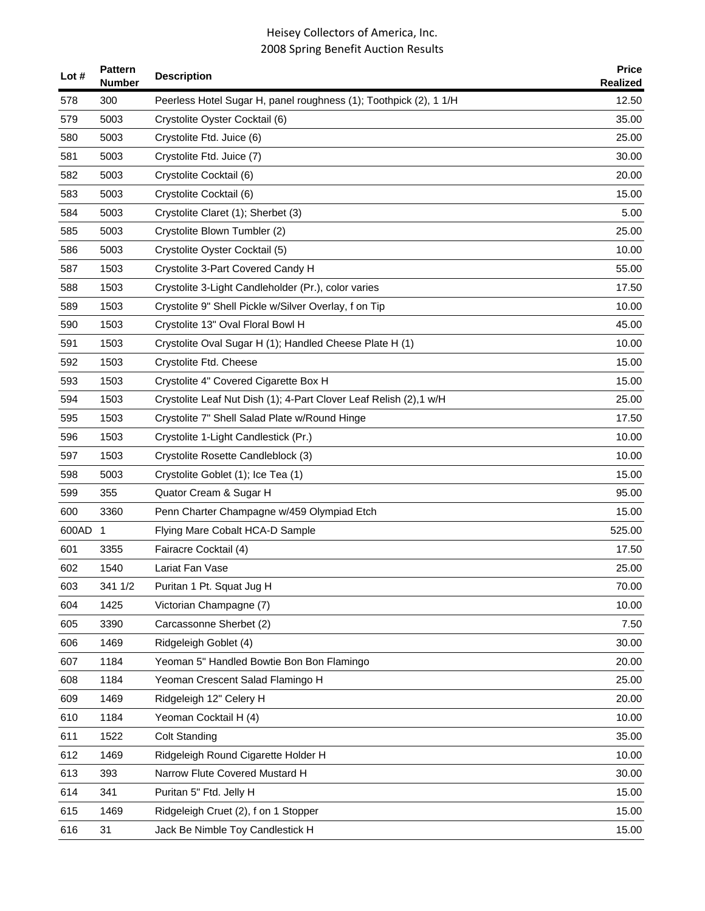| Lot #   | <b>Pattern</b><br><b>Number</b> | <b>Description</b>                                                | <b>Price</b><br>Realized |
|---------|---------------------------------|-------------------------------------------------------------------|--------------------------|
| 578     | 300                             | Peerless Hotel Sugar H, panel roughness (1); Toothpick (2), 1 1/H | 12.50                    |
| 579     | 5003                            | Crystolite Oyster Cocktail (6)                                    | 35.00                    |
| 580     | 5003                            | Crystolite Ftd. Juice (6)                                         | 25.00                    |
| 581     | 5003                            | Crystolite Ftd. Juice (7)                                         | 30.00                    |
| 582     | 5003                            | Crystolite Cocktail (6)                                           | 20.00                    |
| 583     | 5003                            | Crystolite Cocktail (6)                                           | 15.00                    |
| 584     | 5003                            | Crystolite Claret (1); Sherbet (3)                                | 5.00                     |
| 585     | 5003                            | Crystolite Blown Tumbler (2)                                      | 25.00                    |
| 586     | 5003                            | Crystolite Oyster Cocktail (5)                                    | 10.00                    |
| 587     | 1503                            | Crystolite 3-Part Covered Candy H                                 | 55.00                    |
| 588     | 1503                            | Crystolite 3-Light Candleholder (Pr.), color varies               | 17.50                    |
| 589     | 1503                            | Crystolite 9" Shell Pickle w/Silver Overlay, f on Tip             | 10.00                    |
| 590     | 1503                            | Crystolite 13" Oval Floral Bowl H                                 | 45.00                    |
| 591     | 1503                            | Crystolite Oval Sugar H (1); Handled Cheese Plate H (1)           | 10.00                    |
| 592     | 1503                            | Crystolite Ftd. Cheese                                            | 15.00                    |
| 593     | 1503                            | Crystolite 4" Covered Cigarette Box H                             | 15.00                    |
| 594     | 1503                            | Crystolite Leaf Nut Dish (1); 4-Part Clover Leaf Relish (2),1 w/H | 25.00                    |
| 595     | 1503                            | Crystolite 7" Shell Salad Plate w/Round Hinge                     | 17.50                    |
| 596     | 1503                            | Crystolite 1-Light Candlestick (Pr.)                              | 10.00                    |
| 597     | 1503                            | Crystolite Rosette Candleblock (3)                                | 10.00                    |
| 598     | 5003                            | Crystolite Goblet (1); Ice Tea (1)                                | 15.00                    |
| 599     | 355                             | Quator Cream & Sugar H                                            | 95.00                    |
| 600     | 3360                            | Penn Charter Champagne w/459 Olympiad Etch                        | 15.00                    |
| 600AD 1 |                                 | Flying Mare Cobalt HCA-D Sample                                   | 525.00                   |
| 601     | 3355                            | Fairacre Cocktail (4)                                             | 17.50                    |
| 602     | 1540                            | Lariat Fan Vase                                                   | 25.00                    |
| 603     | 341 1/2                         | Puritan 1 Pt. Squat Jug H                                         | 70.00                    |
| 604     | 1425                            | Victorian Champagne (7)                                           | 10.00                    |
| 605     | 3390                            | Carcassonne Sherbet (2)                                           | 7.50                     |
| 606     | 1469                            | Ridgeleigh Goblet (4)                                             | 30.00                    |
| 607     | 1184                            | Yeoman 5" Handled Bowtie Bon Bon Flamingo                         | 20.00                    |
| 608     | 1184                            | Yeoman Crescent Salad Flamingo H                                  | 25.00                    |
| 609     | 1469                            | Ridgeleigh 12" Celery H                                           | 20.00                    |
| 610     | 1184                            | Yeoman Cocktail H (4)                                             | 10.00                    |
| 611     | 1522                            | <b>Colt Standing</b>                                              | 35.00                    |
| 612     | 1469                            | Ridgeleigh Round Cigarette Holder H                               | 10.00                    |
| 613     | 393                             | Narrow Flute Covered Mustard H                                    | 30.00                    |
| 614     | 341                             | Puritan 5" Ftd. Jelly H                                           | 15.00                    |
| 615     | 1469                            | Ridgeleigh Cruet (2), f on 1 Stopper                              | 15.00                    |
| 616     | 31                              | Jack Be Nimble Toy Candlestick H                                  | 15.00                    |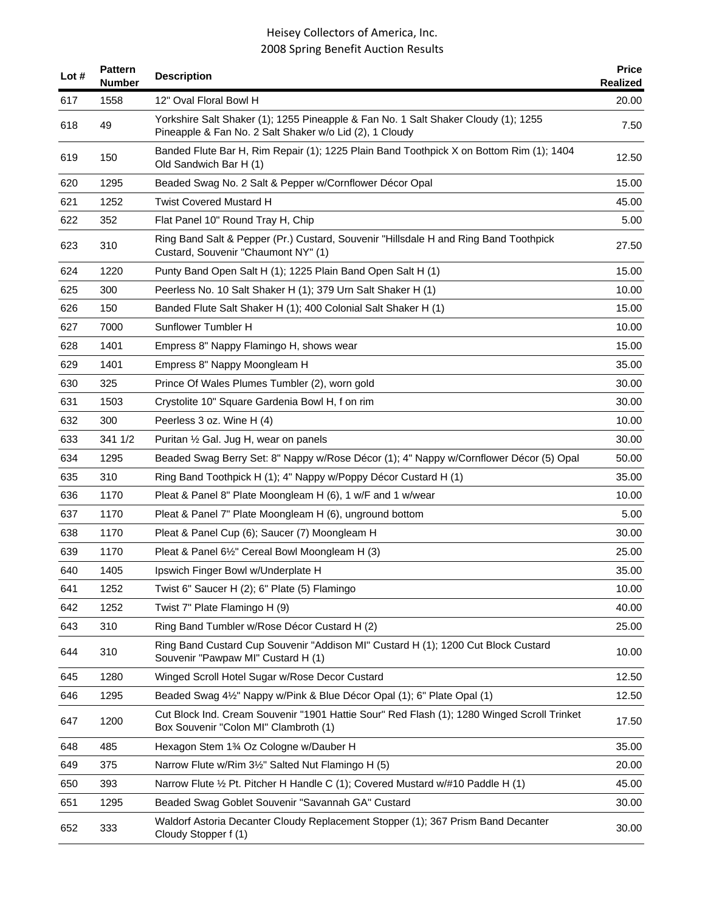| Lot # | <b>Pattern</b><br><b>Number</b> | <b>Description</b>                                                                                                                            | <b>Price</b><br>Realized |
|-------|---------------------------------|-----------------------------------------------------------------------------------------------------------------------------------------------|--------------------------|
| 617   | 1558                            | 12" Oval Floral Bowl H                                                                                                                        | 20.00                    |
| 618   | 49                              | Yorkshire Salt Shaker (1); 1255 Pineapple & Fan No. 1 Salt Shaker Cloudy (1); 1255<br>Pineapple & Fan No. 2 Salt Shaker w/o Lid (2), 1 Cloudy | 7.50                     |
| 619   | 150                             | Banded Flute Bar H, Rim Repair (1); 1225 Plain Band Toothpick X on Bottom Rim (1); 1404<br>Old Sandwich Bar H (1)                             | 12.50                    |
| 620   | 1295                            | Beaded Swag No. 2 Salt & Pepper w/Cornflower Décor Opal                                                                                       | 15.00                    |
| 621   | 1252                            | <b>Twist Covered Mustard H</b>                                                                                                                | 45.00                    |
| 622   | 352                             | Flat Panel 10" Round Tray H, Chip                                                                                                             | 5.00                     |
| 623   | 310                             | Ring Band Salt & Pepper (Pr.) Custard, Souvenir "Hillsdale H and Ring Band Toothpick<br>Custard, Souvenir "Chaumont NY" (1)                   | 27.50                    |
| 624   | 1220                            | Punty Band Open Salt H (1); 1225 Plain Band Open Salt H (1)                                                                                   | 15.00                    |
| 625   | 300                             | Peerless No. 10 Salt Shaker H (1); 379 Urn Salt Shaker H (1)                                                                                  | 10.00                    |
| 626   | 150                             | Banded Flute Salt Shaker H (1); 400 Colonial Salt Shaker H (1)                                                                                | 15.00                    |
| 627   | 7000                            | Sunflower Tumbler H                                                                                                                           | 10.00                    |
| 628   | 1401                            | Empress 8" Nappy Flamingo H, shows wear                                                                                                       | 15.00                    |
| 629   | 1401                            | Empress 8" Nappy Moongleam H                                                                                                                  | 35.00                    |
| 630   | 325                             | Prince Of Wales Plumes Tumbler (2), worn gold                                                                                                 | 30.00                    |
| 631   | 1503                            | Crystolite 10" Square Gardenia Bowl H, f on rim                                                                                               | 30.00                    |
| 632   | 300                             | Peerless 3 oz. Wine H (4)                                                                                                                     | 10.00                    |
| 633   | 341 1/2                         | Puritan 1/2 Gal. Jug H, wear on panels                                                                                                        | 30.00                    |
| 634   | 1295                            | Beaded Swag Berry Set: 8" Nappy w/Rose Décor (1); 4" Nappy w/Cornflower Décor (5) Opal                                                        | 50.00                    |
| 635   | 310                             | Ring Band Toothpick H (1); 4" Nappy w/Poppy Décor Custard H (1)                                                                               | 35.00                    |
| 636   | 1170                            | Pleat & Panel 8" Plate Moongleam H (6), 1 w/F and 1 w/wear                                                                                    | 10.00                    |
| 637   | 1170                            | Pleat & Panel 7" Plate Moongleam H (6), unground bottom                                                                                       | 5.00                     |
| 638   | 1170                            | Pleat & Panel Cup (6); Saucer (7) Moongleam H                                                                                                 | 30.00                    |
| 639   | 1170                            | Pleat & Panel 61/2" Cereal Bowl Moongleam H (3)                                                                                               | 25.00                    |
| 640   | 1405                            | Ipswich Finger Bowl w/Underplate H                                                                                                            | 35.00                    |
| 641   | 1252                            | Twist 6" Saucer H (2); 6" Plate (5) Flamingo                                                                                                  | 10.00                    |
| 642   | 1252                            | Twist 7" Plate Flamingo H (9)                                                                                                                 | 40.00                    |
| 643   | 310                             | Ring Band Tumbler w/Rose Décor Custard H (2)                                                                                                  | 25.00                    |
| 644   | 310                             | Ring Band Custard Cup Souvenir "Addison MI" Custard H (1); 1200 Cut Block Custard<br>Souvenir "Pawpaw MI" Custard H (1)                       | 10.00                    |
| 645   | 1280                            | Winged Scroll Hotel Sugar w/Rose Decor Custard                                                                                                | 12.50                    |
| 646   | 1295                            | Beaded Swag 41/2" Nappy w/Pink & Blue Décor Opal (1); 6" Plate Opal (1)                                                                       | 12.50                    |
| 647   | 1200                            | Cut Block Ind. Cream Souvenir "1901 Hattie Sour" Red Flash (1); 1280 Winged Scroll Trinket<br>Box Souvenir "Colon MI" Clambroth (1)           | 17.50                    |
| 648   | 485                             | Hexagon Stem 13⁄4 Oz Cologne w/Dauber H                                                                                                       | 35.00                    |
| 649   | 375                             | Narrow Flute w/Rim 3½" Salted Nut Flamingo H (5)                                                                                              | 20.00                    |
| 650   | 393                             | Narrow Flute 1/2 Pt. Pitcher H Handle C (1); Covered Mustard w/#10 Paddle H (1)                                                               | 45.00                    |
| 651   | 1295                            | Beaded Swag Goblet Souvenir "Savannah GA" Custard                                                                                             | 30.00                    |
| 652   | 333                             | Waldorf Astoria Decanter Cloudy Replacement Stopper (1); 367 Prism Band Decanter<br>Cloudy Stopper f (1)                                      | 30.00                    |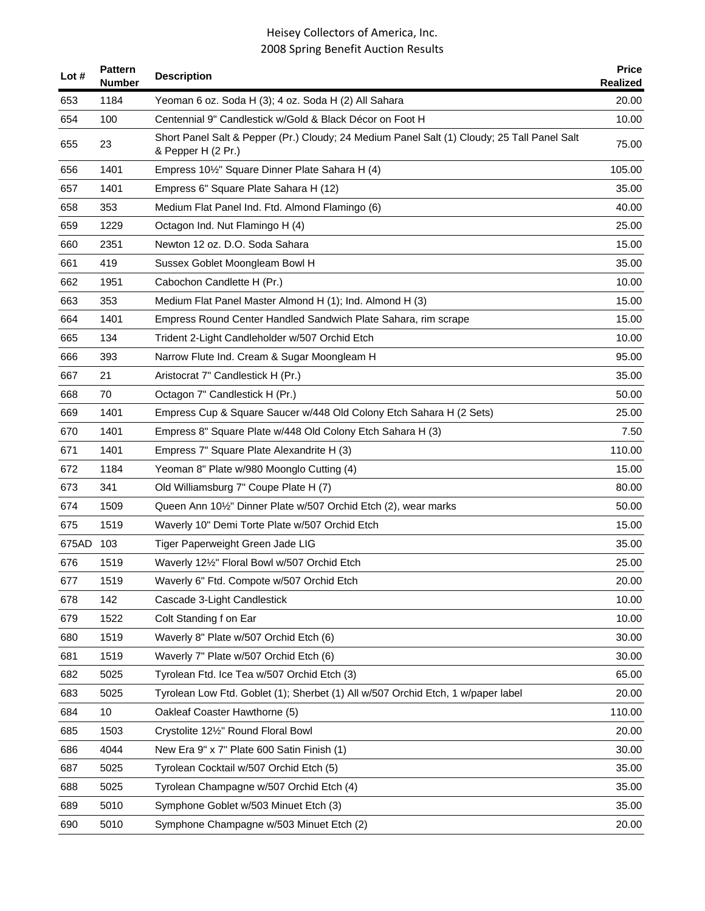| Lot #     | <b>Pattern</b><br><b>Number</b> | <b>Description</b>                                                                                                | <b>Price</b><br><b>Realized</b> |
|-----------|---------------------------------|-------------------------------------------------------------------------------------------------------------------|---------------------------------|
| 653       | 1184                            | Yeoman 6 oz. Soda H (3); 4 oz. Soda H (2) All Sahara                                                              | 20.00                           |
| 654       | 100                             | Centennial 9" Candlestick w/Gold & Black Décor on Foot H                                                          | 10.00                           |
| 655       | 23                              | Short Panel Salt & Pepper (Pr.) Cloudy; 24 Medium Panel Salt (1) Cloudy; 25 Tall Panel Salt<br>& Pepper H (2 Pr.) | 75.00                           |
| 656       | 1401                            | Empress 10 <sup>1</sup> / <sub>2</sub> " Square Dinner Plate Sahara H (4)                                         | 105.00                          |
| 657       | 1401                            | Empress 6" Square Plate Sahara H (12)                                                                             | 35.00                           |
| 658       | 353                             | Medium Flat Panel Ind. Ftd. Almond Flamingo (6)                                                                   | 40.00                           |
| 659       | 1229                            | Octagon Ind. Nut Flamingo H (4)                                                                                   | 25.00                           |
| 660       | 2351                            | Newton 12 oz. D.O. Soda Sahara                                                                                    | 15.00                           |
| 661       | 419                             | Sussex Goblet Moongleam Bowl H                                                                                    | 35.00                           |
| 662       | 1951                            | Cabochon Candlette H (Pr.)                                                                                        | 10.00                           |
| 663       | 353                             | Medium Flat Panel Master Almond H (1); Ind. Almond H (3)                                                          | 15.00                           |
| 664       | 1401                            | Empress Round Center Handled Sandwich Plate Sahara, rim scrape                                                    | 15.00                           |
| 665       | 134                             | Trident 2-Light Candleholder w/507 Orchid Etch                                                                    | 10.00                           |
| 666       | 393                             | Narrow Flute Ind. Cream & Sugar Moongleam H                                                                       | 95.00                           |
| 667       | 21                              | Aristocrat 7" Candlestick H (Pr.)                                                                                 | 35.00                           |
| 668       | 70                              | Octagon 7" Candlestick H (Pr.)                                                                                    | 50.00                           |
| 669       | 1401                            | Empress Cup & Square Saucer w/448 Old Colony Etch Sahara H (2 Sets)                                               | 25.00                           |
| 670       | 1401                            | Empress 8" Square Plate w/448 Old Colony Etch Sahara H (3)                                                        | 7.50                            |
| 671       | 1401                            | Empress 7" Square Plate Alexandrite H (3)                                                                         | 110.00                          |
| 672       | 1184                            | Yeoman 8" Plate w/980 Moonglo Cutting (4)                                                                         | 15.00                           |
| 673       | 341                             | Old Williamsburg 7" Coupe Plate H (7)                                                                             | 80.00                           |
| 674       | 1509                            | Queen Ann 101/2" Dinner Plate w/507 Orchid Etch (2), wear marks                                                   | 50.00                           |
| 675       | 1519                            | Waverly 10" Demi Torte Plate w/507 Orchid Etch                                                                    | 15.00                           |
| 675AD 103 |                                 | Tiger Paperweight Green Jade LIG                                                                                  | 35.00                           |
| 676       | 1519                            | Waverly 121/2" Floral Bowl w/507 Orchid Etch                                                                      | 25.00                           |
| 677       | 1519                            | Waverly 6" Ftd. Compote w/507 Orchid Etch                                                                         | 20.00                           |
| 678       | 142                             | Cascade 3-Light Candlestick                                                                                       | 10.00                           |
| 679       | 1522                            | Colt Standing f on Ear                                                                                            | 10.00                           |
| 680       | 1519                            | Waverly 8" Plate w/507 Orchid Etch (6)                                                                            | 30.00                           |
| 681       | 1519                            | Waverly 7" Plate w/507 Orchid Etch (6)                                                                            | 30.00                           |
| 682       | 5025                            | Tyrolean Ftd. Ice Tea w/507 Orchid Etch (3)                                                                       | 65.00                           |
| 683       | 5025                            | Tyrolean Low Ftd. Goblet (1); Sherbet (1) All w/507 Orchid Etch, 1 w/paper label                                  | 20.00                           |
| 684       | 10                              | Oakleaf Coaster Hawthorne (5)                                                                                     | 110.00                          |
| 685       | 1503                            | Crystolite 121/2" Round Floral Bowl                                                                               | 20.00                           |
| 686       | 4044                            | New Era 9" x 7" Plate 600 Satin Finish (1)                                                                        | 30.00                           |
| 687       | 5025                            | Tyrolean Cocktail w/507 Orchid Etch (5)                                                                           | 35.00                           |
| 688       | 5025                            | Tyrolean Champagne w/507 Orchid Etch (4)                                                                          | 35.00                           |
| 689       | 5010                            | Symphone Goblet w/503 Minuet Etch (3)                                                                             | 35.00                           |
| 690       | 5010                            | Symphone Champagne w/503 Minuet Etch (2)                                                                          | 20.00                           |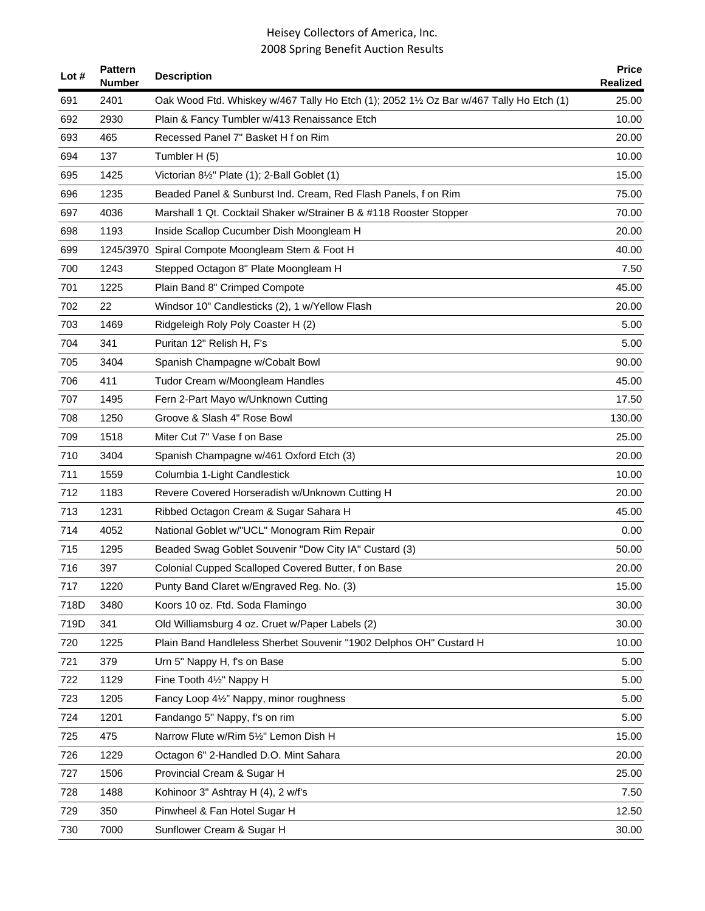| Lot # | <b>Pattern</b><br><b>Number</b> | <b>Description</b>                                                                      | <b>Price</b><br><b>Realized</b> |
|-------|---------------------------------|-----------------------------------------------------------------------------------------|---------------------------------|
| 691   | 2401                            | Oak Wood Ftd. Whiskey w/467 Tally Ho Etch (1); 2052 11/2 Oz Bar w/467 Tally Ho Etch (1) | 25.00                           |
| 692   | 2930                            | Plain & Fancy Tumbler w/413 Renaissance Etch                                            | 10.00                           |
| 693   | 465                             | Recessed Panel 7" Basket H f on Rim                                                     | 20.00                           |
| 694   | 137                             | Tumbler H (5)                                                                           | 10.00                           |
| 695   | 1425                            | Victorian 8 <sup>1</sup> / <sub>2</sub> " Plate (1); 2-Ball Goblet (1)                  | 15.00                           |
| 696   | 1235                            | Beaded Panel & Sunburst Ind. Cream, Red Flash Panels, f on Rim                          | 75.00                           |
| 697   | 4036                            | Marshall 1 Qt. Cocktail Shaker w/Strainer B & #118 Rooster Stopper                      | 70.00                           |
| 698   | 1193                            | Inside Scallop Cucumber Dish Moongleam H                                                | 20.00                           |
| 699   |                                 | 1245/3970 Spiral Compote Moongleam Stem & Foot H                                        | 40.00                           |
| 700   | 1243                            | Stepped Octagon 8" Plate Moongleam H                                                    | 7.50                            |
| 701   | 1225                            | Plain Band 8" Crimped Compote                                                           | 45.00                           |
| 702   | 22                              | Windsor 10" Candlesticks (2), 1 w/Yellow Flash                                          | 20.00                           |
| 703   | 1469                            | Ridgeleigh Roly Poly Coaster H (2)                                                      | 5.00                            |
| 704   | 341                             | Puritan 12" Relish H, F's                                                               | 5.00                            |
| 705   | 3404                            | Spanish Champagne w/Cobalt Bowl                                                         | 90.00                           |
| 706   | 411                             | Tudor Cream w/Moongleam Handles                                                         | 45.00                           |
| 707   | 1495                            | Fern 2-Part Mayo w/Unknown Cutting                                                      | 17.50                           |
| 708   | 1250                            | Groove & Slash 4" Rose Bowl                                                             | 130.00                          |
| 709   | 1518                            | Miter Cut 7" Vase f on Base                                                             | 25.00                           |
| 710   | 3404                            | Spanish Champagne w/461 Oxford Etch (3)                                                 | 20.00                           |
| 711   | 1559                            | Columbia 1-Light Candlestick                                                            | 10.00                           |
| 712   | 1183                            | Revere Covered Horseradish w/Unknown Cutting H                                          | 20.00                           |
| 713   | 1231                            | Ribbed Octagon Cream & Sugar Sahara H                                                   | 45.00                           |
| 714   | 4052                            | National Goblet w/"UCL" Monogram Rim Repair                                             | 0.00                            |
| 715   | 1295                            | Beaded Swag Goblet Souvenir "Dow City IA" Custard (3)                                   | 50.00                           |
| 716   | 397                             | Colonial Cupped Scalloped Covered Butter, f on Base                                     | 20.00                           |
| 717   | 1220                            | Punty Band Claret w/Engraved Reg. No. (3)                                               | 15.00                           |
| 718D  | 3480                            | Koors 10 oz. Ftd. Soda Flamingo                                                         | 30.00                           |
| 719D  | 341                             | Old Williamsburg 4 oz. Cruet w/Paper Labels (2)                                         | 30.00                           |
| 720   | 1225                            | Plain Band Handleless Sherbet Souvenir "1902 Delphos OH" Custard H                      | 10.00                           |
| 721   | 379                             | Urn 5" Nappy H, f's on Base                                                             | 5.00                            |
| 722   | 1129                            | Fine Tooth 41/2" Nappy H                                                                | 5.00                            |
| 723   | 1205                            | Fancy Loop 41/2" Nappy, minor roughness                                                 | 5.00                            |
| 724   | 1201                            | Fandango 5" Nappy, f's on rim                                                           | 5.00                            |
| 725   | 475                             | Narrow Flute w/Rim 51/2" Lemon Dish H                                                   | 15.00                           |
| 726   | 1229                            | Octagon 6" 2-Handled D.O. Mint Sahara                                                   | 20.00                           |
| 727   | 1506                            | Provincial Cream & Sugar H                                                              | 25.00                           |
| 728   | 1488                            | Kohinoor 3" Ashtray H (4), 2 w/f's                                                      | 7.50                            |
| 729   | 350                             | Pinwheel & Fan Hotel Sugar H                                                            | 12.50                           |
| 730   | 7000                            | Sunflower Cream & Sugar H                                                               | 30.00                           |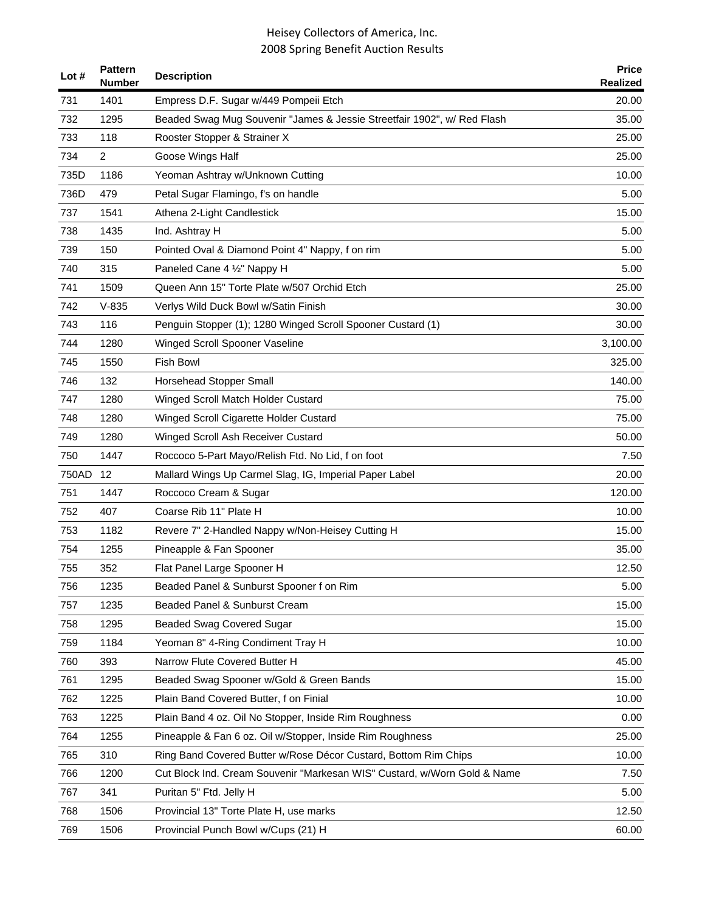| Lot # | <b>Pattern</b><br><b>Number</b> | <b>Description</b>                                                       | <b>Price</b><br><b>Realized</b> |
|-------|---------------------------------|--------------------------------------------------------------------------|---------------------------------|
| 731   | 1401                            | Empress D.F. Sugar w/449 Pompeii Etch                                    | 20.00                           |
| 732   | 1295                            | Beaded Swag Mug Souvenir "James & Jessie Streetfair 1902", w/ Red Flash  | 35.00                           |
| 733   | 118                             | Rooster Stopper & Strainer X                                             | 25.00                           |
| 734   | 2                               | Goose Wings Half                                                         | 25.00                           |
| 735D  | 1186                            | Yeoman Ashtray w/Unknown Cutting                                         | 10.00                           |
| 736D  | 479                             | Petal Sugar Flamingo, f's on handle                                      | 5.00                            |
| 737   | 1541                            | Athena 2-Light Candlestick                                               | 15.00                           |
| 738   | 1435                            | Ind. Ashtray H                                                           | 5.00                            |
| 739   | 150                             | Pointed Oval & Diamond Point 4" Nappy, f on rim                          | 5.00                            |
| 740   | 315                             | Paneled Cane 4 1/2" Nappy H                                              | 5.00                            |
| 741   | 1509                            | Queen Ann 15" Torte Plate w/507 Orchid Etch                              | 25.00                           |
| 742   | $V-835$                         | Verlys Wild Duck Bowl w/Satin Finish                                     | 30.00                           |
| 743   | 116                             | Penguin Stopper (1); 1280 Winged Scroll Spooner Custard (1)              | 30.00                           |
| 744   | 1280                            | Winged Scroll Spooner Vaseline                                           | 3,100.00                        |
| 745   | 1550                            | <b>Fish Bowl</b>                                                         | 325.00                          |
| 746   | 132                             | Horsehead Stopper Small                                                  | 140.00                          |
| 747   | 1280                            | Winged Scroll Match Holder Custard                                       | 75.00                           |
| 748   | 1280                            | Winged Scroll Cigarette Holder Custard                                   | 75.00                           |
| 749   | 1280                            | Winged Scroll Ash Receiver Custard                                       | 50.00                           |
| 750   | 1447                            | Roccoco 5-Part Mayo/Relish Ftd. No Lid, f on foot                        | 7.50                            |
| 750AD | 12                              | Mallard Wings Up Carmel Slag, IG, Imperial Paper Label                   | 20.00                           |
| 751   | 1447                            | Roccoco Cream & Sugar                                                    | 120.00                          |
| 752   | 407                             | Coarse Rib 11" Plate H                                                   | 10.00                           |
| 753   | 1182                            | Revere 7" 2-Handled Nappy w/Non-Heisey Cutting H                         | 15.00                           |
| 754   | 1255                            | Pineapple & Fan Spooner                                                  | 35.00                           |
| 755   | 352                             | Flat Panel Large Spooner H                                               | 12.50                           |
| 756   | 1235                            | Beaded Panel & Sunburst Spooner f on Rim                                 | 5.00                            |
| 757   | 1235                            | Beaded Panel & Sunburst Cream                                            | 15.00                           |
| 758   | 1295                            | <b>Beaded Swag Covered Sugar</b>                                         | 15.00                           |
| 759   | 1184                            | Yeoman 8" 4-Ring Condiment Tray H                                        | 10.00                           |
| 760   | 393                             | Narrow Flute Covered Butter H                                            | 45.00                           |
| 761   | 1295                            | Beaded Swag Spooner w/Gold & Green Bands                                 | 15.00                           |
| 762   | 1225                            | Plain Band Covered Butter, f on Finial                                   | 10.00                           |
| 763   | 1225                            | Plain Band 4 oz. Oil No Stopper, Inside Rim Roughness                    | 0.00                            |
| 764   | 1255                            | Pineapple & Fan 6 oz. Oil w/Stopper, Inside Rim Roughness                | 25.00                           |
| 765   | 310                             | Ring Band Covered Butter w/Rose Décor Custard, Bottom Rim Chips          | 10.00                           |
| 766   | 1200                            | Cut Block Ind. Cream Souvenir "Markesan WIS" Custard, w/Worn Gold & Name | 7.50                            |
| 767   | 341                             | Puritan 5" Ftd. Jelly H                                                  | 5.00                            |
| 768   | 1506                            | Provincial 13" Torte Plate H, use marks                                  | 12.50                           |
| 769   | 1506                            | Provincial Punch Bowl w/Cups (21) H                                      | 60.00                           |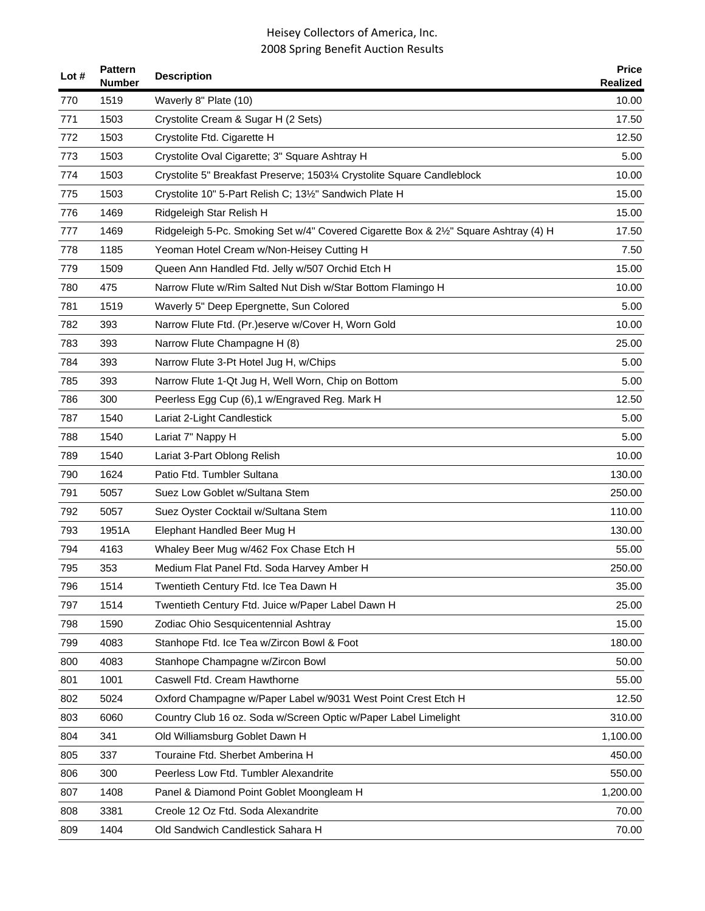| Lot # | <b>Pattern</b><br><b>Number</b> | <b>Description</b>                                                                   | <b>Price</b><br>Realized |
|-------|---------------------------------|--------------------------------------------------------------------------------------|--------------------------|
| 770   | 1519                            | Waverly 8" Plate (10)                                                                | 10.00                    |
| 771   | 1503                            | Crystolite Cream & Sugar H (2 Sets)                                                  | 17.50                    |
| 772   | 1503                            | Crystolite Ftd. Cigarette H                                                          | 12.50                    |
| 773   | 1503                            | Crystolite Oval Cigarette; 3" Square Ashtray H                                       | 5.00                     |
| 774   | 1503                            | Crystolite 5" Breakfast Preserve; 1503¼ Crystolite Square Candleblock                | 10.00                    |
| 775   | 1503                            | Crystolite 10" 5-Part Relish C; 131/2" Sandwich Plate H                              | 15.00                    |
| 776   | 1469                            | Ridgeleigh Star Relish H                                                             | 15.00                    |
| 777   | 1469                            | Ridgeleigh 5-Pc. Smoking Set w/4" Covered Cigarette Box & 21/2" Square Ashtray (4) H | 17.50                    |
| 778   | 1185                            | Yeoman Hotel Cream w/Non-Heisey Cutting H                                            | 7.50                     |
| 779   | 1509                            | Queen Ann Handled Ftd. Jelly w/507 Orchid Etch H                                     | 15.00                    |
| 780   | 475                             | Narrow Flute w/Rim Salted Nut Dish w/Star Bottom Flamingo H                          | 10.00                    |
| 781   | 1519                            | Waverly 5" Deep Epergnette, Sun Colored                                              | 5.00                     |
| 782   | 393                             | Narrow Flute Ftd. (Pr.)eserve w/Cover H, Worn Gold                                   | 10.00                    |
| 783   | 393                             | Narrow Flute Champagne H (8)                                                         | 25.00                    |
| 784   | 393                             | Narrow Flute 3-Pt Hotel Jug H, w/Chips                                               | 5.00                     |
| 785   | 393                             | Narrow Flute 1-Qt Jug H, Well Worn, Chip on Bottom                                   | 5.00                     |
| 786   | 300                             | Peerless Egg Cup (6),1 w/Engraved Reg. Mark H                                        | 12.50                    |
| 787   | 1540                            | Lariat 2-Light Candlestick                                                           | 5.00                     |
| 788   | 1540                            | Lariat 7" Nappy H                                                                    | 5.00                     |
| 789   | 1540                            | Lariat 3-Part Oblong Relish                                                          | 10.00                    |
| 790   | 1624                            | Patio Ftd. Tumbler Sultana                                                           | 130.00                   |
| 791   | 5057                            | Suez Low Goblet w/Sultana Stem                                                       | 250.00                   |
| 792   | 5057                            | Suez Oyster Cocktail w/Sultana Stem                                                  | 110.00                   |
| 793   | 1951A                           | Elephant Handled Beer Mug H                                                          | 130.00                   |
| 794   | 4163                            | Whaley Beer Mug w/462 Fox Chase Etch H                                               | 55.00                    |
| 795   | 353                             | Medium Flat Panel Ftd. Soda Harvey Amber H                                           | 250.00                   |
| 796   | 1514                            | Twentieth Century Ftd. Ice Tea Dawn H                                                | 35.00                    |
| 797   | 1514                            | Twentieth Century Ftd. Juice w/Paper Label Dawn H                                    | 25.00                    |
| 798   | 1590                            | Zodiac Ohio Sesquicentennial Ashtray                                                 | 15.00                    |
| 799   | 4083                            | Stanhope Ftd. Ice Tea w/Zircon Bowl & Foot                                           | 180.00                   |
| 800   | 4083                            | Stanhope Champagne w/Zircon Bowl                                                     | 50.00                    |
| 801   | 1001                            | Caswell Ftd. Cream Hawthorne                                                         | 55.00                    |
| 802   | 5024                            | Oxford Champagne w/Paper Label w/9031 West Point Crest Etch H                        | 12.50                    |
| 803   | 6060                            | Country Club 16 oz. Soda w/Screen Optic w/Paper Label Limelight                      | 310.00                   |
| 804   | 341                             | Old Williamsburg Goblet Dawn H                                                       | 1,100.00                 |
| 805   | 337                             | Touraine Ftd. Sherbet Amberina H                                                     | 450.00                   |
| 806   | 300                             | Peerless Low Ftd. Tumbler Alexandrite                                                | 550.00                   |
| 807   | 1408                            | Panel & Diamond Point Goblet Moongleam H                                             | 1,200.00                 |
| 808   | 3381                            | Creole 12 Oz Ftd. Soda Alexandrite                                                   | 70.00                    |
| 809   | 1404                            | Old Sandwich Candlestick Sahara H                                                    | 70.00                    |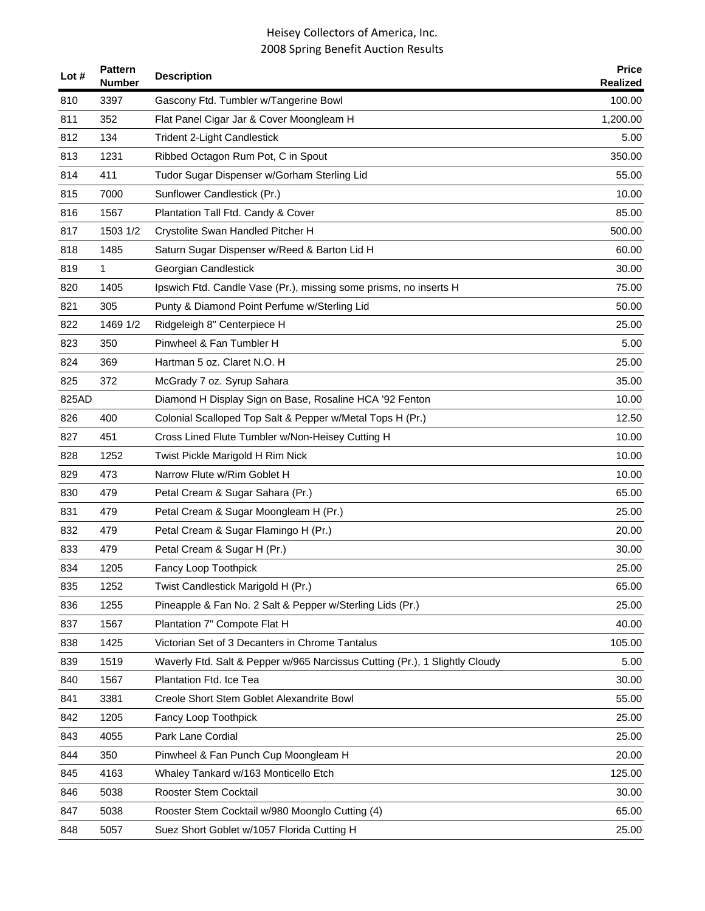| Lot # | <b>Pattern</b><br><b>Number</b> | <b>Description</b>                                                          | <b>Price</b><br><b>Realized</b> |
|-------|---------------------------------|-----------------------------------------------------------------------------|---------------------------------|
| 810   | 3397                            | Gascony Ftd. Tumbler w/Tangerine Bowl                                       | 100.00                          |
| 811   | 352                             | Flat Panel Cigar Jar & Cover Moongleam H                                    | 1,200.00                        |
| 812   | 134                             | <b>Trident 2-Light Candlestick</b>                                          | 5.00                            |
| 813   | 1231                            | Ribbed Octagon Rum Pot, C in Spout                                          | 350.00                          |
| 814   | 411                             | Tudor Sugar Dispenser w/Gorham Sterling Lid                                 | 55.00                           |
| 815   | 7000                            | Sunflower Candlestick (Pr.)                                                 | 10.00                           |
| 816   | 1567                            | Plantation Tall Ftd. Candy & Cover                                          | 85.00                           |
| 817   | 1503 1/2                        | Crystolite Swan Handled Pitcher H                                           | 500.00                          |
| 818   | 1485                            | Saturn Sugar Dispenser w/Reed & Barton Lid H                                | 60.00                           |
| 819   | 1                               | Georgian Candlestick                                                        | 30.00                           |
| 820   | 1405                            | Ipswich Ftd. Candle Vase (Pr.), missing some prisms, no inserts H           | 75.00                           |
| 821   | 305                             | Punty & Diamond Point Perfume w/Sterling Lid                                | 50.00                           |
| 822   | 1469 1/2                        | Ridgeleigh 8" Centerpiece H                                                 | 25.00                           |
| 823   | 350                             | Pinwheel & Fan Tumbler H                                                    | 5.00                            |
| 824   | 369                             | Hartman 5 oz. Claret N.O. H                                                 | 25.00                           |
| 825   | 372                             | McGrady 7 oz. Syrup Sahara                                                  | 35.00                           |
| 825AD |                                 | Diamond H Display Sign on Base, Rosaline HCA '92 Fenton                     | 10.00                           |
| 826   | 400                             | Colonial Scalloped Top Salt & Pepper w/Metal Tops H (Pr.)                   | 12.50                           |
| 827   | 451                             | Cross Lined Flute Tumbler w/Non-Heisey Cutting H                            | 10.00                           |
| 828   | 1252                            | Twist Pickle Marigold H Rim Nick                                            | 10.00                           |
| 829   | 473                             | Narrow Flute w/Rim Goblet H                                                 | 10.00                           |
| 830   | 479                             | Petal Cream & Sugar Sahara (Pr.)                                            | 65.00                           |
| 831   | 479                             | Petal Cream & Sugar Moongleam H (Pr.)                                       | 25.00                           |
| 832   | 479                             | Petal Cream & Sugar Flamingo H (Pr.)                                        | 20.00                           |
| 833   | 479                             | Petal Cream & Sugar H (Pr.)                                                 | 30.00                           |
| 834   | 1205                            | Fancy Loop Toothpick                                                        | 25.00                           |
| 835   | 1252                            | Twist Candlestick Marigold H (Pr.)                                          | 65.00                           |
| 836   | 1255                            | Pineapple & Fan No. 2 Salt & Pepper w/Sterling Lids (Pr.)                   | 25.00                           |
| 837   | 1567                            | Plantation 7" Compote Flat H                                                | 40.00                           |
| 838   | 1425                            | Victorian Set of 3 Decanters in Chrome Tantalus                             | 105.00                          |
| 839   | 1519                            | Waverly Ftd. Salt & Pepper w/965 Narcissus Cutting (Pr.), 1 Slightly Cloudy | 5.00                            |
| 840   | 1567                            | Plantation Ftd. Ice Tea                                                     | 30.00                           |
| 841   | 3381                            | Creole Short Stem Goblet Alexandrite Bowl                                   | 55.00                           |
| 842   | 1205                            | Fancy Loop Toothpick                                                        | 25.00                           |
| 843   | 4055                            | Park Lane Cordial                                                           | 25.00                           |
| 844   | 350                             | Pinwheel & Fan Punch Cup Moongleam H                                        | 20.00                           |
| 845   | 4163                            | Whaley Tankard w/163 Monticello Etch                                        | 125.00                          |
| 846   | 5038                            | Rooster Stem Cocktail                                                       | 30.00                           |
| 847   | 5038                            | Rooster Stem Cocktail w/980 Moonglo Cutting (4)                             | 65.00                           |
| 848   | 5057                            | Suez Short Goblet w/1057 Florida Cutting H                                  | 25.00                           |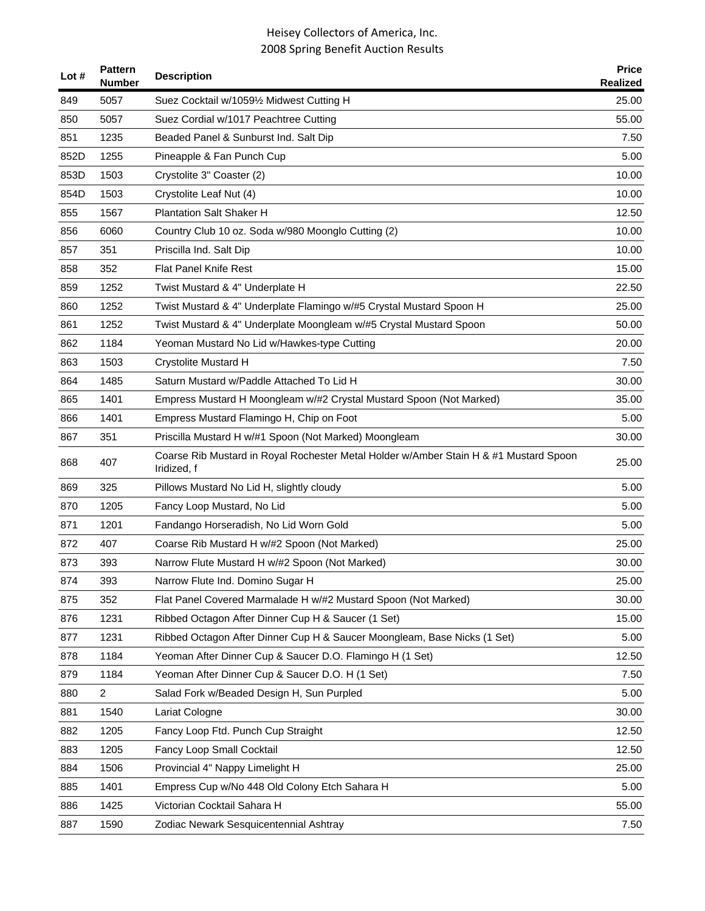| Lot # | <b>Pattern</b><br><b>Number</b> | <b>Description</b>                                                                                   | <b>Price</b><br><b>Realized</b> |
|-------|---------------------------------|------------------------------------------------------------------------------------------------------|---------------------------------|
| 849   | 5057                            | Suez Cocktail w/10591/2 Midwest Cutting H                                                            | 25.00                           |
| 850   | 5057                            | Suez Cordial w/1017 Peachtree Cutting                                                                | 55.00                           |
| 851   | 1235                            | Beaded Panel & Sunburst Ind. Salt Dip                                                                | 7.50                            |
| 852D  | 1255                            | Pineapple & Fan Punch Cup                                                                            | 5.00                            |
| 853D  | 1503                            | Crystolite 3" Coaster (2)                                                                            | 10.00                           |
| 854D  | 1503                            | Crystolite Leaf Nut (4)                                                                              | 10.00                           |
| 855   | 1567                            | <b>Plantation Salt Shaker H</b>                                                                      | 12.50                           |
| 856   | 6060                            | Country Club 10 oz. Soda w/980 Moonglo Cutting (2)                                                   | 10.00                           |
| 857   | 351                             | Priscilla Ind. Salt Dip                                                                              | 10.00                           |
| 858   | 352                             | <b>Flat Panel Knife Rest</b>                                                                         | 15.00                           |
| 859   | 1252                            | Twist Mustard & 4" Underplate H                                                                      | 22.50                           |
| 860   | 1252                            | Twist Mustard & 4" Underplate Flamingo w/#5 Crystal Mustard Spoon H                                  | 25.00                           |
| 861   | 1252                            | Twist Mustard & 4" Underplate Moongleam w/#5 Crystal Mustard Spoon                                   | 50.00                           |
| 862   | 1184                            | Yeoman Mustard No Lid w/Hawkes-type Cutting                                                          | 20.00                           |
| 863   | 1503                            | <b>Crystolite Mustard H</b>                                                                          | 7.50                            |
| 864   | 1485                            | Saturn Mustard w/Paddle Attached To Lid H                                                            | 30.00                           |
| 865   | 1401                            | Empress Mustard H Moongleam w/#2 Crystal Mustard Spoon (Not Marked)                                  | 35.00                           |
| 866   | 1401                            | Empress Mustard Flamingo H, Chip on Foot                                                             | 5.00                            |
| 867   | 351                             | Priscilla Mustard H w/#1 Spoon (Not Marked) Moongleam                                                | 30.00                           |
| 868   | 407                             | Coarse Rib Mustard in Royal Rochester Metal Holder w/Amber Stain H & #1 Mustard Spoon<br>Iridized, f | 25.00                           |
| 869   | 325                             | Pillows Mustard No Lid H, slightly cloudy                                                            | 5.00                            |
| 870   | 1205                            | Fancy Loop Mustard, No Lid                                                                           | 5.00                            |
| 871   | 1201                            | Fandango Horseradish, No Lid Worn Gold                                                               | 5.00                            |
| 872   | 407                             | Coarse Rib Mustard H w/#2 Spoon (Not Marked)                                                         | 25.00                           |
| 873   | 393                             | Narrow Flute Mustard H w/#2 Spoon (Not Marked)                                                       | 30.00                           |
| 874   | 393                             | Narrow Flute Ind. Domino Sugar H                                                                     | 25.00                           |
| 875   | 352                             | Flat Panel Covered Marmalade H w/#2 Mustard Spoon (Not Marked)                                       | 30.00                           |
| 876   | 1231                            | Ribbed Octagon After Dinner Cup H & Saucer (1 Set)                                                   | 15.00                           |
| 877   | 1231                            | Ribbed Octagon After Dinner Cup H & Saucer Moongleam, Base Nicks (1 Set)                             | 5.00                            |
| 878   | 1184                            | Yeoman After Dinner Cup & Saucer D.O. Flamingo H (1 Set)                                             | 12.50                           |
| 879   | 1184                            | Yeoman After Dinner Cup & Saucer D.O. H (1 Set)                                                      | 7.50                            |
| 880   | $\overline{2}$                  | Salad Fork w/Beaded Design H, Sun Purpled                                                            | 5.00                            |
| 881   | 1540                            | Lariat Cologne                                                                                       | 30.00                           |
| 882   | 1205                            | Fancy Loop Ftd. Punch Cup Straight                                                                   | 12.50                           |
| 883   | 1205                            | Fancy Loop Small Cocktail                                                                            | 12.50                           |
| 884   | 1506                            | Provincial 4" Nappy Limelight H                                                                      | 25.00                           |
| 885   | 1401                            | Empress Cup w/No 448 Old Colony Etch Sahara H                                                        | 5.00                            |
| 886   | 1425                            | Victorian Cocktail Sahara H                                                                          | 55.00                           |
| 887   | 1590                            | Zodiac Newark Sesquicentennial Ashtray                                                               | 7.50                            |